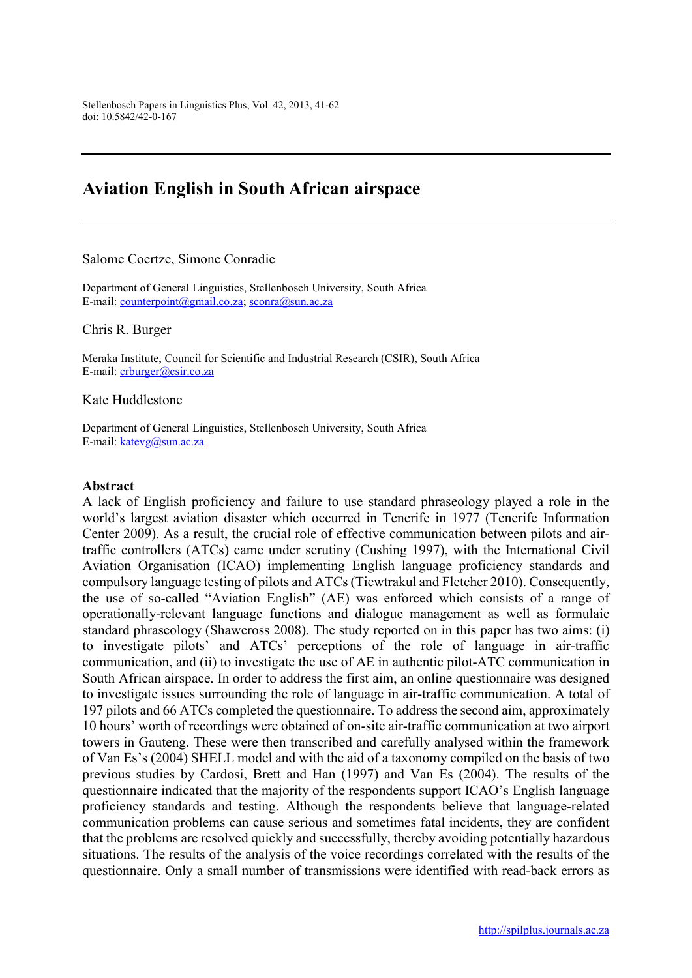# Aviation English in South African airspace

#### Salome Coertze, Simone Conradie

Department of General Linguistics, Stellenbosch University, South Africa E-mail: counterpoint@gmail.co.za; sconra@sun.ac.za

Chris R. Burger

Meraka Institute, Council for Scientific and Industrial Research (CSIR), South Africa E-mail: crburger@csir.co.za

Kate Huddlestone

Department of General Linguistics, Stellenbosch University, South Africa E-mail: katevg@sun.ac.za

#### Abstract

A lack of English proficiency and failure to use standard phraseology played a role in the world's largest aviation disaster which occurred in Tenerife in 1977 (Tenerife Information Center 2009). As a result, the crucial role of effective communication between pilots and airtraffic controllers (ATCs) came under scrutiny (Cushing 1997), with the International Civil Aviation Organisation (ICAO) implementing English language proficiency standards and compulsory language testing of pilots and ATCs (Tiewtrakul and Fletcher 2010). Consequently, the use of so-called "Aviation English" (AE) was enforced which consists of a range of operationally-relevant language functions and dialogue management as well as formulaic standard phraseology (Shawcross 2008). The study reported on in this paper has two aims: (i) to investigate pilots' and ATCs' perceptions of the role of language in air-traffic communication, and (ii) to investigate the use of AE in authentic pilot-ATC communication in South African airspace. In order to address the first aim, an online questionnaire was designed to investigate issues surrounding the role of language in air-traffic communication. A total of 197 pilots and 66 ATCs completed the questionnaire. To address the second aim, approximately 10 hours' worth of recordings were obtained of on-site air-traffic communication at two airport towers in Gauteng. These were then transcribed and carefully analysed within the framework of Van Es's (2004) SHELL model and with the aid of a taxonomy compiled on the basis of two previous studies by Cardosi, Brett and Han (1997) and Van Es (2004). The results of the questionnaire indicated that the majority of the respondents support ICAO's English language proficiency standards and testing. Although the respondents believe that language-related communication problems can cause serious and sometimes fatal incidents, they are confident that the problems are resolved quickly and successfully, thereby avoiding potentially hazardous situations. The results of the analysis of the voice recordings correlated with the results of the questionnaire. Only a small number of transmissions were identified with read-back errors as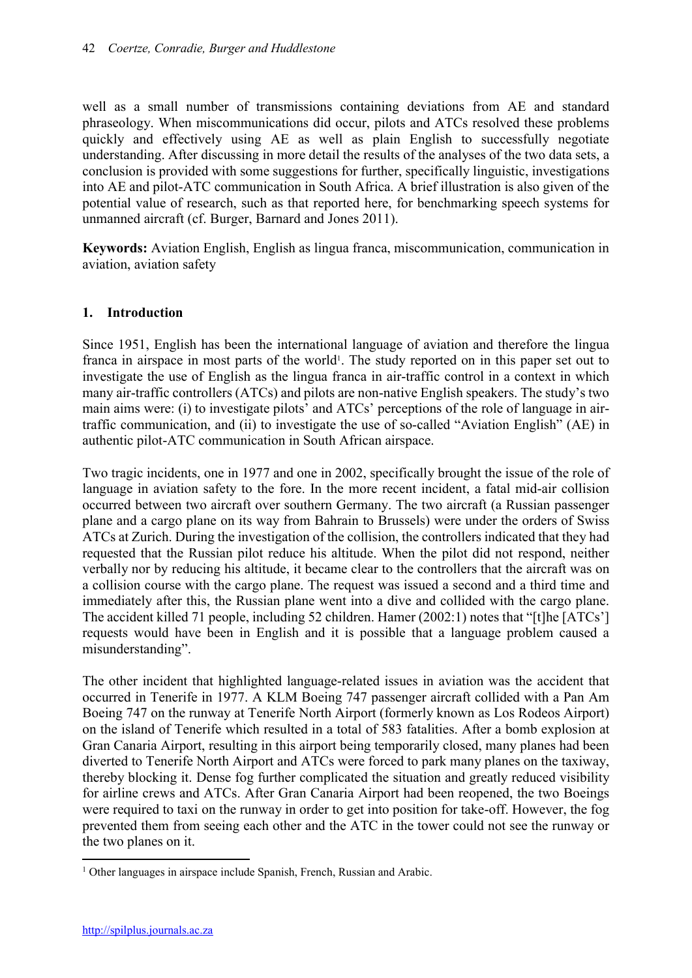well as a small number of transmissions containing deviations from AE and standard phraseology. When miscommunications did occur, pilots and ATCs resolved these problems quickly and effectively using AE as well as plain English to successfully negotiate understanding. After discussing in more detail the results of the analyses of the two data sets, a conclusion is provided with some suggestions for further, specifically linguistic, investigations into AE and pilot-ATC communication in South Africa. A brief illustration is also given of the potential value of research, such as that reported here, for benchmarking speech systems for unmanned aircraft (cf. Burger, Barnard and Jones 2011).

Keywords: Aviation English, English as lingua franca, miscommunication, communication in aviation, aviation safety

## 1. Introduction

Since 1951, English has been the international language of aviation and therefore the lingua franca in airspace in most parts of the world<sup>1</sup>. The study reported on in this paper set out to investigate the use of English as the lingua franca in air-traffic control in a context in which many air-traffic controllers (ATCs) and pilots are non-native English speakers. The study's two main aims were: (i) to investigate pilots' and ATCs' perceptions of the role of language in airtraffic communication, and (ii) to investigate the use of so-called "Aviation English" (AE) in authentic pilot-ATC communication in South African airspace.

Two tragic incidents, one in 1977 and one in 2002, specifically brought the issue of the role of language in aviation safety to the fore. In the more recent incident, a fatal mid-air collision occurred between two aircraft over southern Germany. The two aircraft (a Russian passenger plane and a cargo plane on its way from Bahrain to Brussels) were under the orders of Swiss ATCs at Zurich. During the investigation of the collision, the controllers indicated that they had requested that the Russian pilot reduce his altitude. When the pilot did not respond, neither verbally nor by reducing his altitude, it became clear to the controllers that the aircraft was on a collision course with the cargo plane. The request was issued a second and a third time and immediately after this, the Russian plane went into a dive and collided with the cargo plane. The accident killed 71 people, including 52 children. Hamer (2002:1) notes that "[t]he [ATCs'] requests would have been in English and it is possible that a language problem caused a misunderstanding".

The other incident that highlighted language-related issues in aviation was the accident that occurred in Tenerife in 1977. A KLM Boeing 747 passenger aircraft collided with a Pan Am Boeing 747 on the runway at Tenerife North Airport (formerly known as Los Rodeos Airport) on the island of Tenerife which resulted in a total of 583 fatalities. After a bomb explosion at Gran Canaria Airport, resulting in this airport being temporarily closed, many planes had been diverted to Tenerife North Airport and ATCs were forced to park many planes on the taxiway, thereby blocking it. Dense fog further complicated the situation and greatly reduced visibility for airline crews and ATCs. After Gran Canaria Airport had been reopened, the two Boeings were required to taxi on the runway in order to get into position for take-off. However, the fog prevented them from seeing each other and the ATC in the tower could not see the runway or the two planes on it.

 $\overline{a}$ <sup>1</sup> Other languages in airspace include Spanish, French, Russian and Arabic.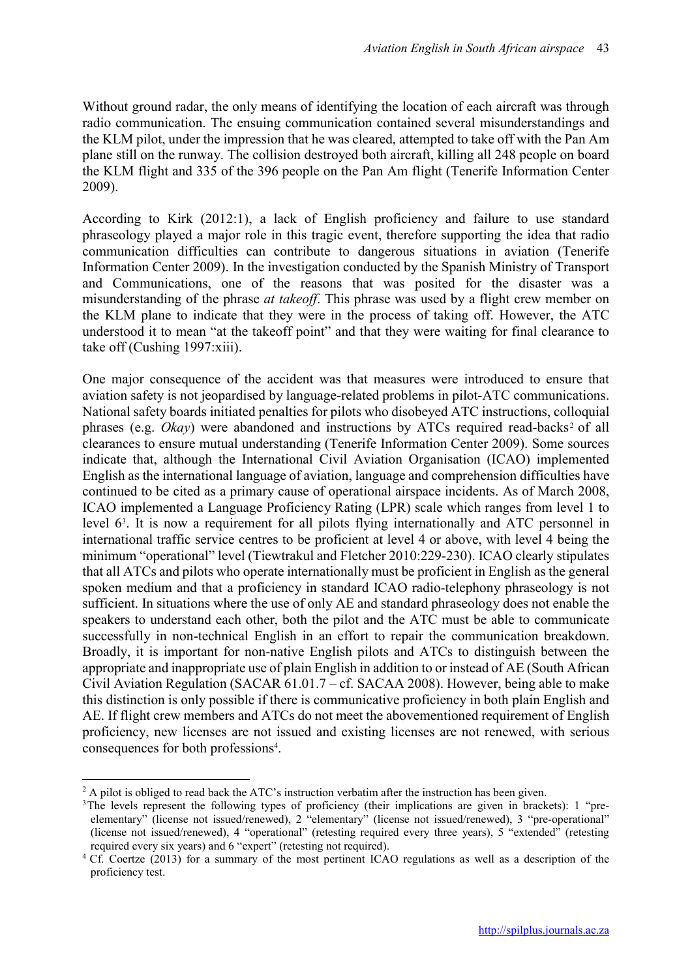Without ground radar, the only means of identifying the location of each aircraft was through radio communication. The ensuing communication contained several misunderstandings and the KLM pilot, under the impression that he was cleared, attempted to take off with the Pan Am plane still on the runway. The collision destroyed both aircraft, killing all 248 people on board the KLM flight and 335 of the 396 people on the Pan Am flight (Tenerife Information Center 2009).

According to Kirk (2012:1), a lack of English proficiency and failure to use standard phraseology played a major role in this tragic event, therefore supporting the idea that radio communication difficulties can contribute to dangerous situations in aviation (Tenerife Information Center 2009). In the investigation conducted by the Spanish Ministry of Transport and Communications, one of the reasons that was posited for the disaster was a misunderstanding of the phrase *at takeoff*. This phrase was used by a flight crew member on the KLM plane to indicate that they were in the process of taking off. However, the ATC understood it to mean "at the takeoff point" and that they were waiting for final clearance to take off (Cushing 1997:xiii).

One major consequence of the accident was that measures were introduced to ensure that aviation safety is not jeopardised by language-related problems in pilot-ATC communications. National safety boards initiated penalties for pilots who disobeyed ATC instructions, colloquial phrases (e.g. *Okay*) were abandoned and instructions by ATCs required read-backs<sup>2</sup> of all clearances to ensure mutual understanding (Tenerife Information Center 2009). Some sources indicate that, although the International Civil Aviation Organisation (ICAO) implemented English as the international language of aviation, language and comprehension difficulties have continued to be cited as a primary cause of operational airspace incidents. As of March 2008, ICAO implemented a Language Proficiency Rating (LPR) scale which ranges from level 1 to level 63 . It is now a requirement for all pilots flying internationally and ATC personnel in international traffic service centres to be proficient at level 4 or above, with level 4 being the minimum "operational" level (Tiewtrakul and Fletcher 2010:229-230). ICAO clearly stipulates that all ATCs and pilots who operate internationally must be proficient in English as the general spoken medium and that a proficiency in standard ICAO radio-telephony phraseology is not sufficient. In situations where the use of only AE and standard phraseology does not enable the speakers to understand each other, both the pilot and the ATC must be able to communicate successfully in non-technical English in an effort to repair the communication breakdown. Broadly, it is important for non-native English pilots and ATCs to distinguish between the appropriate and inappropriate use of plain English in addition to or instead of AE (South African Civil Aviation Regulation (SACAR 61.01.7 – cf. SACAA 2008). However, being able to make this distinction is only possible if there is communicative proficiency in both plain English and AE. If flight crew members and ATCs do not meet the abovementioned requirement of English proficiency, new licenses are not issued and existing licenses are not renewed, with serious consequences for both professions<sup>4</sup>.

 $\overline{a}$ 

<sup>&</sup>lt;sup>2</sup> A pilot is obliged to read back the ATC's instruction verbatim after the instruction has been given.

<sup>&</sup>lt;sup>3</sup>The levels represent the following types of proficiency (their implications are given in brackets): 1 "preelementary" (license not issued/renewed), 2 "elementary" (license not issued/renewed), 3 "pre-operational" (license not issued/renewed), 4 "operational" (retesting required every three years), 5 "extended" (retesting required every six years) and 6 "expert" (retesting not required).

<sup>&</sup>lt;sup>4</sup> Cf. Coertze (2013) for a summary of the most pertinent ICAO regulations as well as a description of the proficiency test.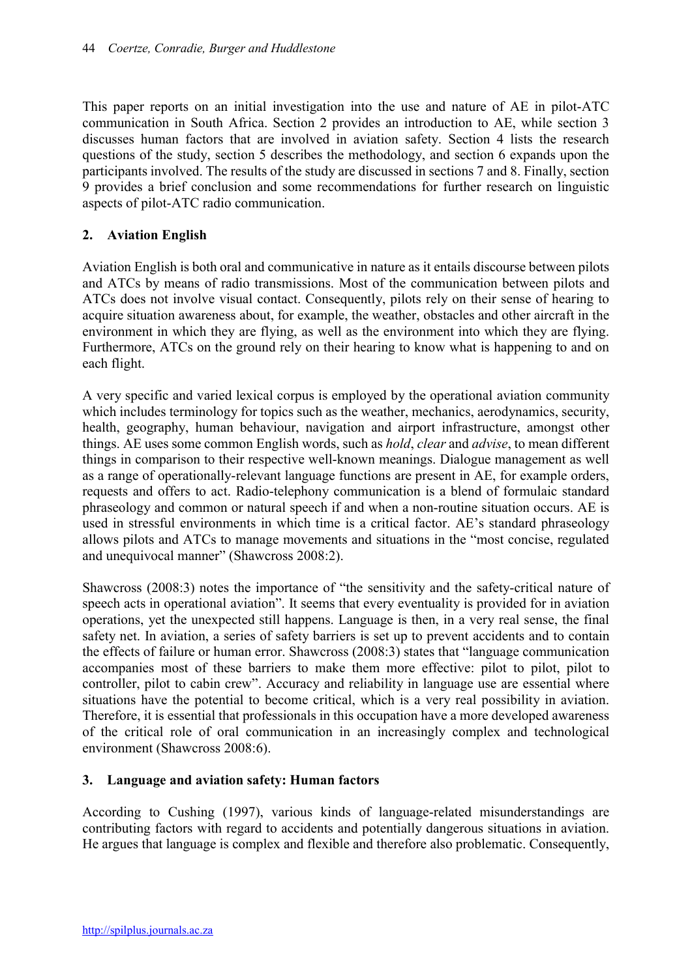This paper reports on an initial investigation into the use and nature of AE in pilot-ATC communication in South Africa. Section 2 provides an introduction to AE, while section 3 discusses human factors that are involved in aviation safety. Section 4 lists the research questions of the study, section 5 describes the methodology, and section 6 expands upon the participants involved. The results of the study are discussed in sections 7 and 8. Finally, section 9 provides a brief conclusion and some recommendations for further research on linguistic aspects of pilot-ATC radio communication.

## 2. Aviation English

Aviation English is both oral and communicative in nature as it entails discourse between pilots and ATCs by means of radio transmissions. Most of the communication between pilots and ATCs does not involve visual contact. Consequently, pilots rely on their sense of hearing to acquire situation awareness about, for example, the weather, obstacles and other aircraft in the environment in which they are flying, as well as the environment into which they are flying. Furthermore, ATCs on the ground rely on their hearing to know what is happening to and on each flight.

A very specific and varied lexical corpus is employed by the operational aviation community which includes terminology for topics such as the weather, mechanics, aerodynamics, security, health, geography, human behaviour, navigation and airport infrastructure, amongst other things. AE uses some common English words, such as *hold*, *clear* and *advise*, to mean different things in comparison to their respective well-known meanings. Dialogue management as well as a range of operationally-relevant language functions are present in AE, for example orders, requests and offers to act. Radio-telephony communication is a blend of formulaic standard phraseology and common or natural speech if and when a non-routine situation occurs. AE is used in stressful environments in which time is a critical factor. AE's standard phraseology allows pilots and ATCs to manage movements and situations in the "most concise, regulated and unequivocal manner" (Shawcross 2008:2).

Shawcross (2008:3) notes the importance of "the sensitivity and the safety-critical nature of speech acts in operational aviation". It seems that every eventuality is provided for in aviation operations, yet the unexpected still happens. Language is then, in a very real sense, the final safety net. In aviation, a series of safety barriers is set up to prevent accidents and to contain the effects of failure or human error. Shawcross (2008:3) states that "language communication accompanies most of these barriers to make them more effective: pilot to pilot, pilot to controller, pilot to cabin crew". Accuracy and reliability in language use are essential where situations have the potential to become critical, which is a very real possibility in aviation. Therefore, it is essential that professionals in this occupation have a more developed awareness of the critical role of oral communication in an increasingly complex and technological environment (Shawcross 2008:6).

## 3. Language and aviation safety: Human factors

According to Cushing (1997), various kinds of language-related misunderstandings are contributing factors with regard to accidents and potentially dangerous situations in aviation. He argues that language is complex and flexible and therefore also problematic. Consequently,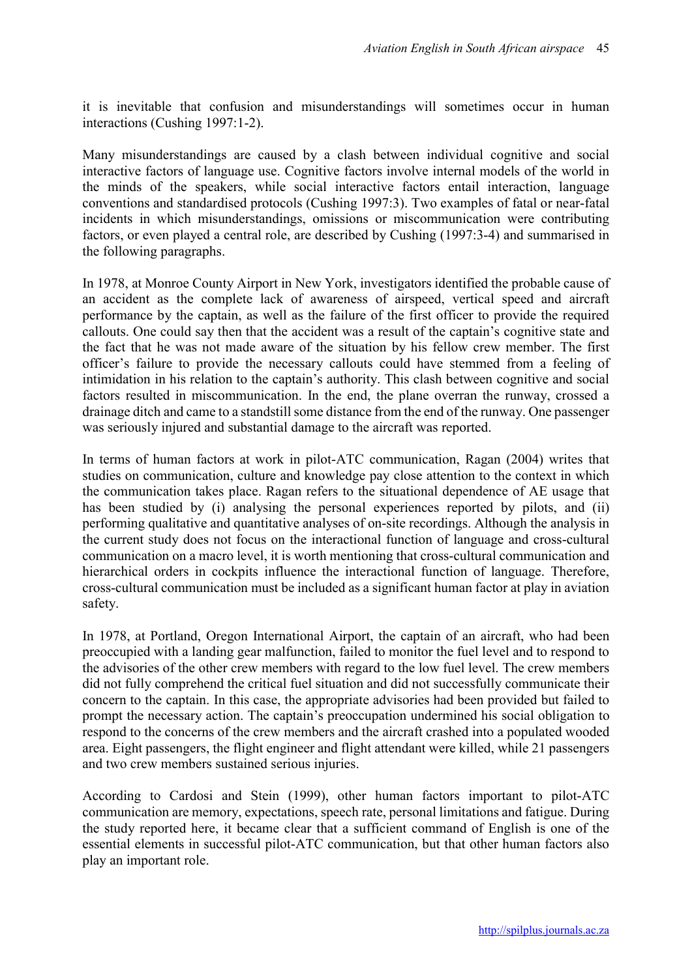it is inevitable that confusion and misunderstandings will sometimes occur in human interactions (Cushing 1997:1-2).

Many misunderstandings are caused by a clash between individual cognitive and social interactive factors of language use. Cognitive factors involve internal models of the world in the minds of the speakers, while social interactive factors entail interaction, language conventions and standardised protocols (Cushing 1997:3). Two examples of fatal or near-fatal incidents in which misunderstandings, omissions or miscommunication were contributing factors, or even played a central role, are described by Cushing (1997:3-4) and summarised in the following paragraphs.

In 1978, at Monroe County Airport in New York, investigators identified the probable cause of an accident as the complete lack of awareness of airspeed, vertical speed and aircraft performance by the captain, as well as the failure of the first officer to provide the required callouts. One could say then that the accident was a result of the captain's cognitive state and the fact that he was not made aware of the situation by his fellow crew member. The first officer's failure to provide the necessary callouts could have stemmed from a feeling of intimidation in his relation to the captain's authority. This clash between cognitive and social factors resulted in miscommunication. In the end, the plane overran the runway, crossed a drainage ditch and came to a standstill some distance from the end of the runway. One passenger was seriously injured and substantial damage to the aircraft was reported.

In terms of human factors at work in pilot-ATC communication, Ragan (2004) writes that studies on communication, culture and knowledge pay close attention to the context in which the communication takes place. Ragan refers to the situational dependence of AE usage that has been studied by (i) analysing the personal experiences reported by pilots, and (ii) performing qualitative and quantitative analyses of on-site recordings. Although the analysis in the current study does not focus on the interactional function of language and cross-cultural communication on a macro level, it is worth mentioning that cross-cultural communication and hierarchical orders in cockpits influence the interactional function of language. Therefore, cross-cultural communication must be included as a significant human factor at play in aviation safety.

In 1978, at Portland, Oregon International Airport, the captain of an aircraft, who had been preoccupied with a landing gear malfunction, failed to monitor the fuel level and to respond to the advisories of the other crew members with regard to the low fuel level. The crew members did not fully comprehend the critical fuel situation and did not successfully communicate their concern to the captain. In this case, the appropriate advisories had been provided but failed to prompt the necessary action. The captain's preoccupation undermined his social obligation to respond to the concerns of the crew members and the aircraft crashed into a populated wooded area. Eight passengers, the flight engineer and flight attendant were killed, while 21 passengers and two crew members sustained serious injuries.

According to Cardosi and Stein (1999), other human factors important to pilot-ATC communication are memory, expectations, speech rate, personal limitations and fatigue. During the study reported here, it became clear that a sufficient command of English is one of the essential elements in successful pilot-ATC communication, but that other human factors also play an important role.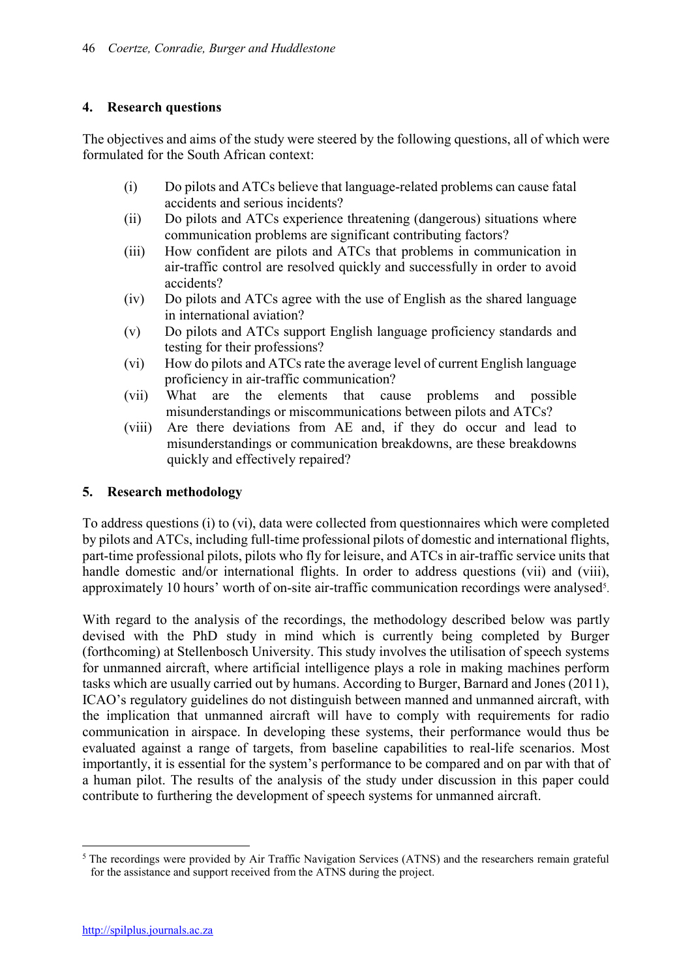## 4. Research questions

The objectives and aims of the study were steered by the following questions, all of which were formulated for the South African context:

- (i) Do pilots and ATCs believe that language-related problems can cause fatal accidents and serious incidents?
- (ii) Do pilots and ATCs experience threatening (dangerous) situations where communication problems are significant contributing factors?
- (iii) How confident are pilots and ATCs that problems in communication in air-traffic control are resolved quickly and successfully in order to avoid accidents?
- (iv) Do pilots and ATCs agree with the use of English as the shared language in international aviation?
- (v) Do pilots and ATCs support English language proficiency standards and testing for their professions?
- (vi) How do pilots and ATCs rate the average level of current English language proficiency in air-traffic communication?
- (vii) What are the elements that cause problems and possible misunderstandings or miscommunications between pilots and ATCs?
- (viii) Are there deviations from AE and, if they do occur and lead to misunderstandings or communication breakdowns, are these breakdowns quickly and effectively repaired?

## 5. Research methodology

To address questions (i) to (vi), data were collected from questionnaires which were completed by pilots and ATCs, including full-time professional pilots of domestic and international flights, part-time professional pilots, pilots who fly for leisure, and ATCs in air-traffic service units that handle domestic and/or international flights. In order to address questions (vii) and (viii), approximately 10 hours' worth of on-site air-traffic communication recordings were analysed<sup>5</sup>.

With regard to the analysis of the recordings, the methodology described below was partly devised with the PhD study in mind which is currently being completed by Burger (forthcoming) at Stellenbosch University. This study involves the utilisation of speech systems for unmanned aircraft, where artificial intelligence plays a role in making machines perform tasks which are usually carried out by humans. According to Burger, Barnard and Jones (2011), ICAO's regulatory guidelines do not distinguish between manned and unmanned aircraft, with the implication that unmanned aircraft will have to comply with requirements for radio communication in airspace. In developing these systems, their performance would thus be evaluated against a range of targets, from baseline capabilities to real-life scenarios. Most importantly, it is essential for the system's performance to be compared and on par with that of a human pilot. The results of the analysis of the study under discussion in this paper could contribute to furthering the development of speech systems for unmanned aircraft.

<sup>1</sup> <sup>5</sup> The recordings were provided by Air Traffic Navigation Services (ATNS) and the researchers remain grateful for the assistance and support received from the ATNS during the project.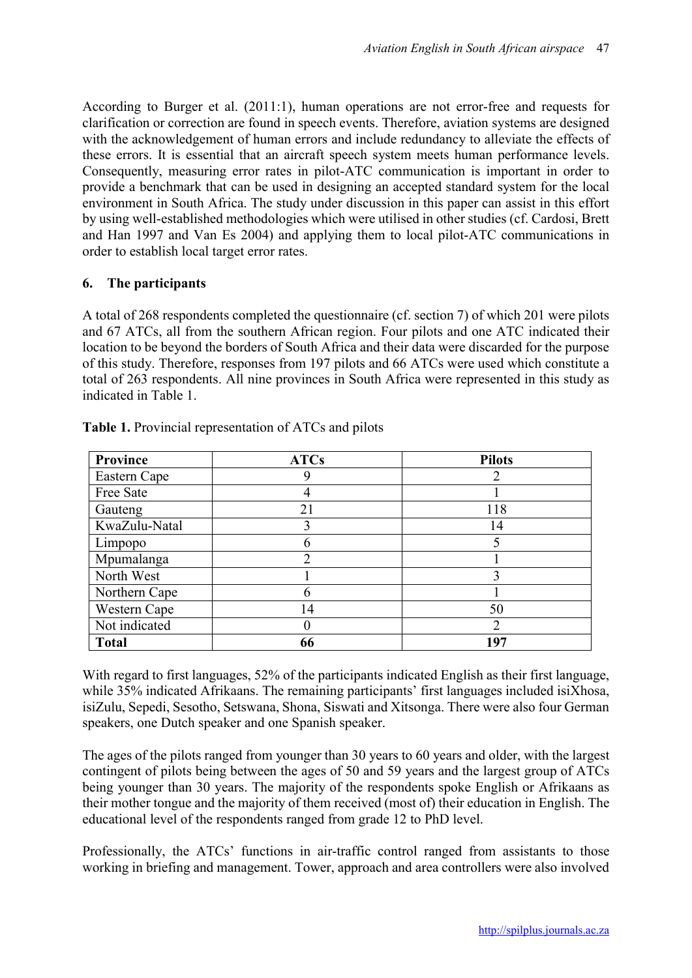According to Burger et al. (2011:1), human operations are not error-free and requests for clarification or correction are found in speech events. Therefore, aviation systems are designed with the acknowledgement of human errors and include redundancy to alleviate the effects of these errors. It is essential that an aircraft speech system meets human performance levels. Consequently, measuring error rates in pilot-ATC communication is important in order to provide a benchmark that can be used in designing an accepted standard system for the local environment in South Africa. The study under discussion in this paper can assist in this effort by using well-established methodologies which were utilised in other studies (cf. Cardosi, Brett and Han 1997 and Van Es 2004) and applying them to local pilot-ATC communications in order to establish local target error rates.

# 6. The participants

A total of 268 respondents completed the questionnaire (cf. section 7) of which 201 were pilots and 67 ATCs, all from the southern African region. Four pilots and one ATC indicated their location to be beyond the borders of South Africa and their data were discarded for the purpose of this study. Therefore, responses from 197 pilots and 66 ATCs were used which constitute a total of 263 respondents. All nine provinces in South Africa were represented in this study as indicated in Table 1.

| <b>Province</b> | <b>ATCs</b> | <b>Pilots</b> |
|-----------------|-------------|---------------|
| Eastern Cape    | 9           | ∍             |
| Free Sate       |             |               |
| Gauteng         | 21          | 118           |
| KwaZulu-Natal   | 3           | 14            |
| Limpopo         | 6           |               |
| Mpumalanga      | っ           |               |
| North West      |             | 3             |
| Northern Cape   | 6           |               |
| Western Cape    | 14          | 50            |
| Not indicated   |             | ∍             |
| <b>Total</b>    | 66          | 197           |

Table 1. Provincial representation of ATCs and pilots

With regard to first languages, 52% of the participants indicated English as their first language, while 35% indicated Afrikaans. The remaining participants' first languages included isiXhosa, isiZulu, Sepedi, Sesotho, Setswana, Shona, Siswati and Xitsonga. There were also four German speakers, one Dutch speaker and one Spanish speaker.

The ages of the pilots ranged from younger than 30 years to 60 years and older, with the largest contingent of pilots being between the ages of 50 and 59 years and the largest group of ATCs being younger than 30 years. The majority of the respondents spoke English or Afrikaans as their mother tongue and the majority of them received (most of) their education in English. The educational level of the respondents ranged from grade 12 to PhD level.

Professionally, the ATCs' functions in air-traffic control ranged from assistants to those working in briefing and management. Tower, approach and area controllers were also involved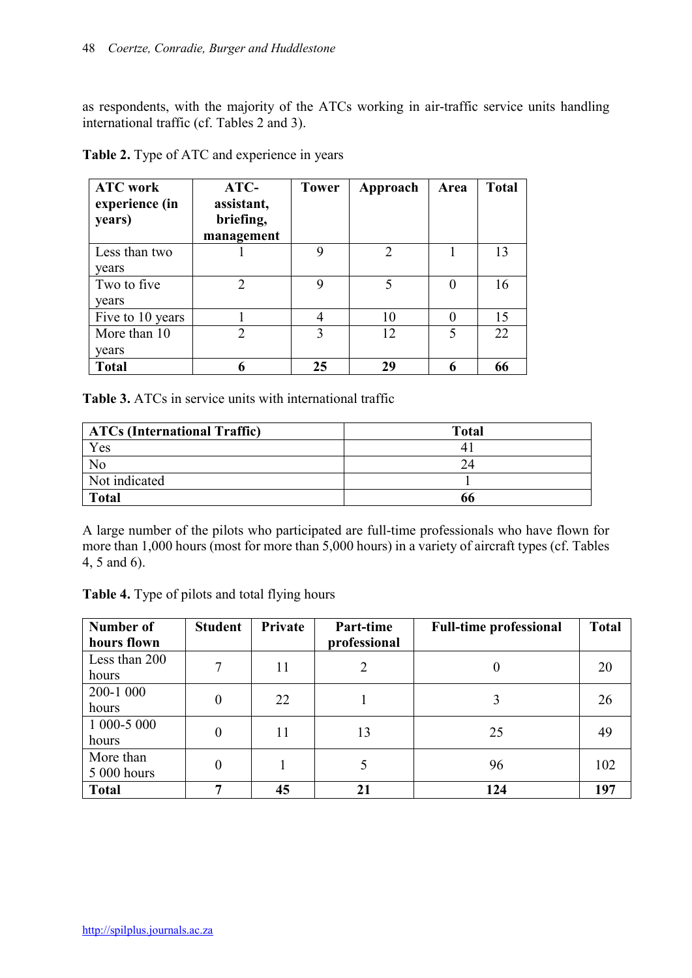as respondents, with the majority of the ATCs working in air-traffic service units handling international traffic (cf. Tables 2 and 3).

| <b>ATC</b> work<br>experience (in<br>years) | $ATC-$<br>assistant,<br>briefing,<br>management | <b>Tower</b> | Approach          | Area | <b>Total</b> |
|---------------------------------------------|-------------------------------------------------|--------------|-------------------|------|--------------|
| Less than two<br>vears                      |                                                 | 9            | $\sum_{i=1}^{n}$  |      | 13           |
| Two to five<br>years                        | $\overline{2}$                                  | 9            | 5                 | 0    | 16           |
| Five to 10 years                            |                                                 |              | 10                |      | 15           |
| More than 10<br>years                       | $\mathfrak{D}$                                  | 3            | $12 \overline{)}$ | 5    | 22           |
| <b>Total</b>                                | 6                                               | 25           | 29                |      | 66           |

Table 2. Type of ATC and experience in years

Table 3. ATCs in service units with international traffic

| <b>ATCs (International Traffic)</b> | <b>Total</b> |
|-------------------------------------|--------------|
| Yes                                 |              |
| No                                  | 24           |
| Not indicated                       |              |
| <b>Total</b>                        | 66           |

A large number of the pilots who participated are full-time professionals who have flown for more than 1,000 hours (most for more than 5,000 hours) in a variety of aircraft types (cf. Tables 4, 5 and 6).

Table 4. Type of pilots and total flying hours

| Number of     | <b>Student</b> | Private | Part-time    | <b>Full-time professional</b> | <b>Total</b> |
|---------------|----------------|---------|--------------|-------------------------------|--------------|
| hours flown   |                |         | professional |                               |              |
| Less than 200 | 7              | 11      | 2            | 0                             | 20           |
| hours         |                |         |              |                               |              |
| 200-1 000     | $\overline{0}$ | 22      |              |                               | 26           |
| hours         |                |         |              |                               |              |
| 1 000-5 000   |                | 11      | 13           | 25                            | 49           |
| hours         | 0              |         |              |                               |              |
| More than     | $\overline{0}$ |         |              |                               |              |
| 5 000 hours   |                |         |              | 96                            | 102          |
| <b>Total</b>  | −              | 45      | 21           | 124                           | 197          |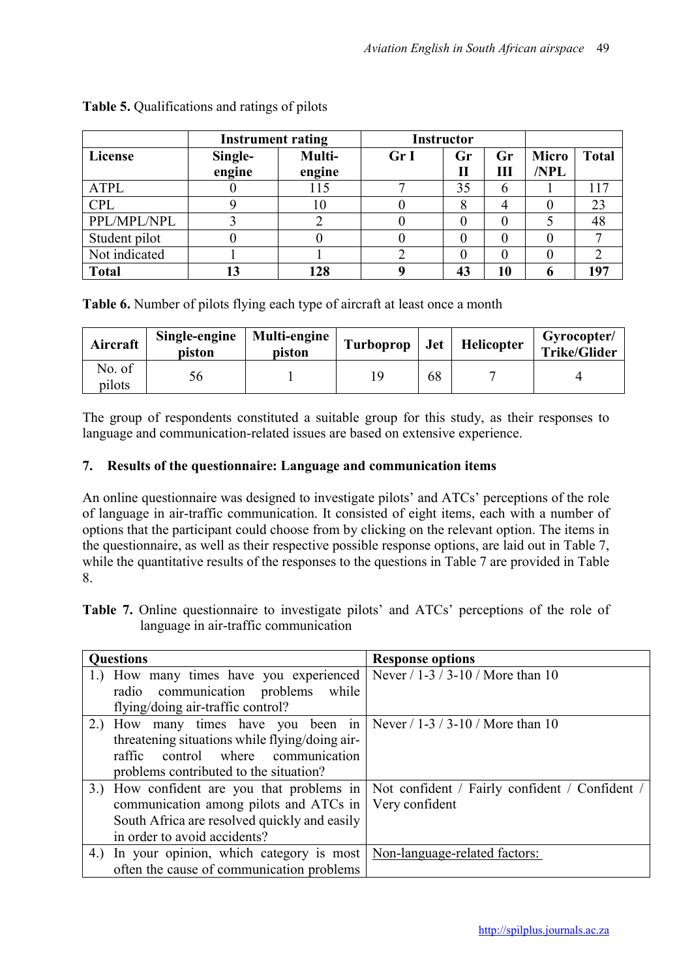|               | <b>Instrument rating</b> |        | <b>Instructor</b> |          |    |              |              |
|---------------|--------------------------|--------|-------------------|----------|----|--------------|--------------|
| License       | Single-                  | Multi- | Gr I              | Gr       | Gr | <b>Micro</b> | <b>Total</b> |
|               | engine                   | engine |                   | $\bf{I}$ | Ш  | /NPL         |              |
| ATPL          |                          | 115    |                   | 35       | b  |              | 117          |
| <b>CPL</b>    |                          | 10     |                   |          |    |              | 23           |
| PPL/MPL/NPL   |                          |        |                   |          |    |              | 48           |
| Student pilot |                          |        |                   |          |    |              |              |
| Not indicated |                          |        |                   |          |    |              |              |
| <b>Total</b>  |                          | 128    |                   | 43       | 10 |              | 197          |

Table 5. Qualifications and ratings of pilots

Table 6. Number of pilots flying each type of aircraft at least once a month

| Aircraft         | Single-engine<br>piston | Multi-engine<br>piston | Turboprop | <b>Jet</b> | Helicopter | Gyrocopter/<br><b>Trike/Glider</b> |
|------------------|-------------------------|------------------------|-----------|------------|------------|------------------------------------|
| No. of<br>pilots | Dб                      |                        |           | 68         |            |                                    |

The group of respondents constituted a suitable group for this study, as their responses to language and communication-related issues are based on extensive experience.

# 7. Results of the questionnaire: Language and communication items

An online questionnaire was designed to investigate pilots' and ATCs' perceptions of the role of language in air-traffic communication. It consisted of eight items, each with a number of options that the participant could choose from by clicking on the relevant option. The items in the questionnaire, as well as their respective possible response options, are laid out in Table 7, while the quantitative results of the responses to the questions in Table 7 are provided in Table 8.

Table 7. Online questionnaire to investigate pilots' and ATCs' perceptions of the role of language in air-traffic communication

| <b>Questions</b>                                                                                                | <b>Response options</b>                        |
|-----------------------------------------------------------------------------------------------------------------|------------------------------------------------|
| 1.) How many times have you experienced                                                                         | Never $/ 1 - 3 / 3 - 10 /$ More than 10        |
| radio communication problems<br>while                                                                           |                                                |
| flying/doing air-traffic control?                                                                               |                                                |
| 2.) How many times have you been in $\sqrt{\frac{8000 \text{ m}}{1 \cdot 3}}$ Never / 1-3 / 3-10 / More than 10 |                                                |
| threatening situations while flying/doing air-                                                                  |                                                |
| control where communication<br>raffic                                                                           |                                                |
| problems contributed to the situation?                                                                          |                                                |
| 3.) How confident are you that problems in                                                                      | Not confident / Fairly confident / Confident / |
| communication among pilots and ATCs in                                                                          | Very confident                                 |
| South Africa are resolved quickly and easily                                                                    |                                                |
| in order to avoid accidents?                                                                                    |                                                |
| 4.) In your opinion, which category is most   Non-language-related factors:                                     |                                                |
| often the cause of communication problems                                                                       |                                                |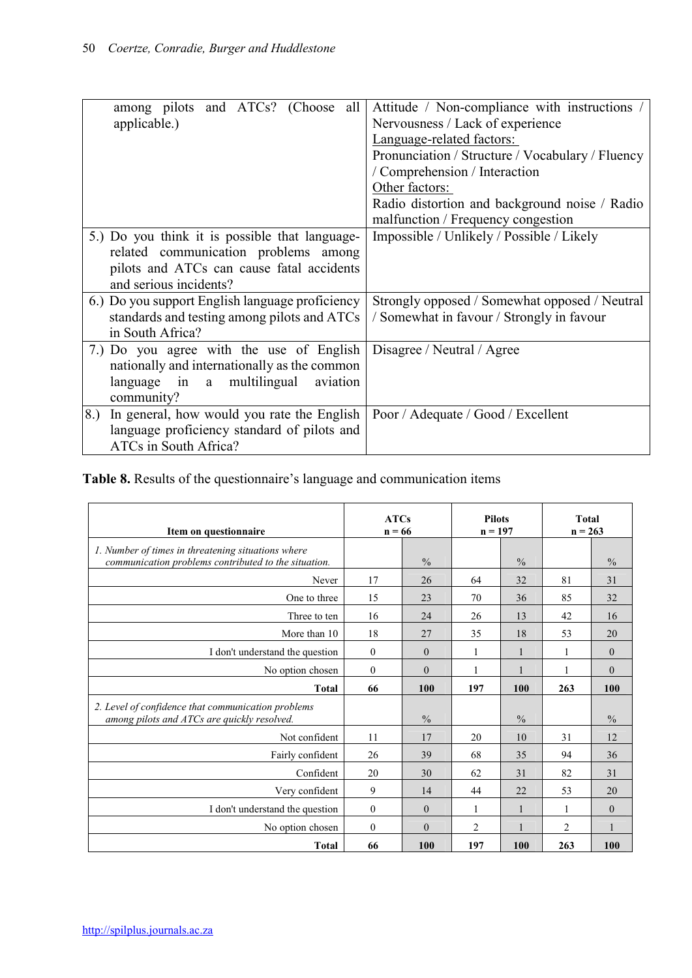| among pilots and ATCs? (Choose all                | Attitude / Non-compliance with instructions /    |
|---------------------------------------------------|--------------------------------------------------|
| applicable.)                                      | Nervousness / Lack of experience                 |
|                                                   | Language-related factors:                        |
|                                                   | Pronunciation / Structure / Vocabulary / Fluency |
|                                                   | / Comprehension / Interaction                    |
|                                                   | Other factors:                                   |
|                                                   | Radio distortion and background noise / Radio    |
|                                                   | malfunction / Frequency congestion               |
| 5.) Do you think it is possible that language-    | Impossible / Unlikely / Possible / Likely        |
| related communication problems among              |                                                  |
| pilots and ATCs can cause fatal accidents         |                                                  |
| and serious incidents?                            |                                                  |
| 6.) Do you support English language proficiency   | Strongly opposed / Somewhat opposed / Neutral    |
| standards and testing among pilots and ATCs       | / Somewhat in favour / Strongly in favour        |
| in South Africa?                                  |                                                  |
| 7.) Do you agree with the use of English          | Disagree / Neutral / Agree                       |
| nationally and internationally as the common      |                                                  |
| language in a multilingual<br>aviation            |                                                  |
| community?                                        |                                                  |
| 8.)<br>In general, how would you rate the English | Poor / Adequate / Good / Excellent               |
| language proficiency standard of pilots and       |                                                  |
| ATCs in South Africa?                             |                                                  |

Table 8. Results of the questionnaire's language and communication items

| Item on questionnaire                                                                                      |              | <b>ATCs</b><br>$n = 66$ |                | <b>Pilots</b><br>$n = 197$ |                | <b>Total</b><br>$n = 263$ |
|------------------------------------------------------------------------------------------------------------|--------------|-------------------------|----------------|----------------------------|----------------|---------------------------|
| 1. Number of times in threatening situations where<br>communication problems contributed to the situation. |              | $\frac{0}{0}$           |                | $\frac{0}{0}$              |                | $\frac{0}{0}$             |
| Never                                                                                                      | 17           | 26                      | 64             | 32                         | 81             | 31                        |
| One to three                                                                                               | 15           | 23                      | 70             | 36                         | 85             | 32                        |
| Three to ten                                                                                               | 16           | 24                      | 26             | 13                         | 42             | 16                        |
| More than 10                                                                                               | 18           | 27                      | 35             | 18                         | 53             | 20                        |
| I don't understand the question                                                                            | $\mathbf{0}$ | $\theta$                | 1              | 1                          | 1              | $\mathbf{0}$              |
| No option chosen                                                                                           | $\mathbf{0}$ | $\theta$                | $\mathbf{1}$   |                            | 1              | $\mathbf{0}$              |
| <b>Total</b>                                                                                               | 66           | 100                     | 197            | 100                        | 263            | 100                       |
| 2. Level of confidence that communication problems<br>among pilots and ATCs are quickly resolved.          |              | $\frac{0}{0}$           |                | $\frac{0}{0}$              |                | $\frac{0}{0}$             |
| Not confident                                                                                              | 11           | 17                      | 20             | 10                         | 31             | 12                        |
| Fairly confident                                                                                           | 26           | 39                      | 68             | 35                         | 94             | 36                        |
| Confident                                                                                                  | 20           | 30                      | 62             | 31                         | 82             | 31                        |
| Very confident                                                                                             | 9            | 14                      | 44             | 22                         | 53             | 20                        |
| I don't understand the question                                                                            | $\mathbf{0}$ | $\theta$                | 1              |                            | 1              | $\mathbf{0}$              |
| No option chosen                                                                                           | $\mathbf{0}$ | $\theta$                | $\overline{2}$ |                            | $\overline{c}$ |                           |
|                                                                                                            |              |                         |                |                            |                |                           |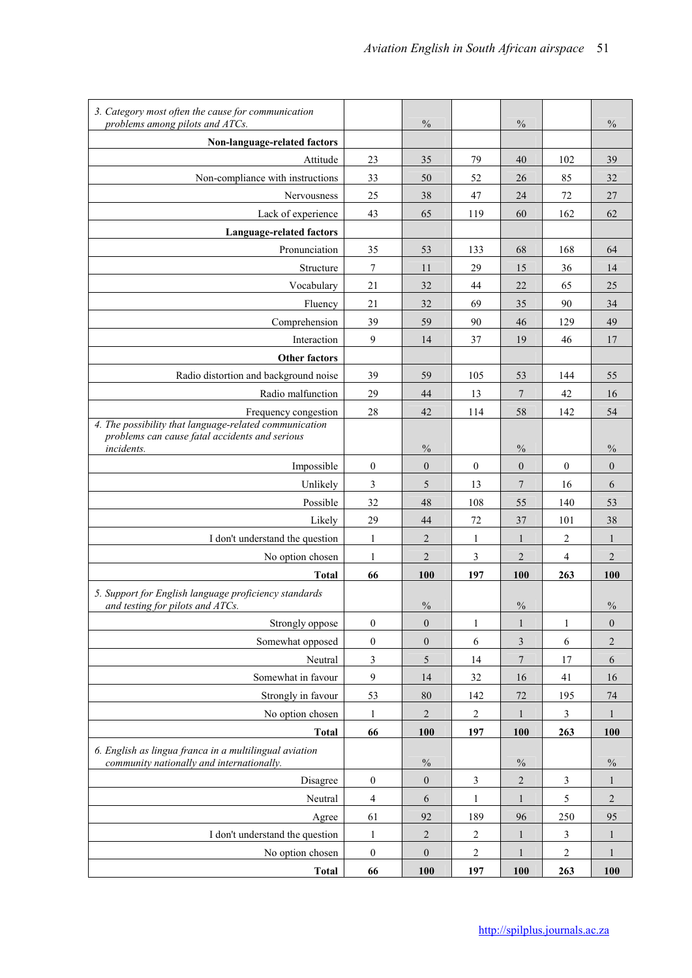| Non-language-related factors<br>23<br>Attitude<br>35<br>79<br>40<br>102<br>39<br>Non-compliance with instructions<br>33<br>50<br>26<br>85<br>32<br>52<br>72<br>27<br>Nervousness<br>25<br>38<br>47<br>24<br>Lack of experience<br>43<br>65<br>119<br>60<br>162<br>62<br>Language-related factors<br>Pronunciation<br>35<br>133<br>68<br>168<br>53<br>64<br>7<br>29<br>Structure<br>11<br>15<br>36<br>14<br>21<br>44<br>22<br>25<br>Vocabulary<br>32<br>65<br>69<br>Fluency<br>21<br>32<br>35<br>90<br>34<br>Comprehension<br>39<br>49<br>59<br>90<br>46<br>129<br>9<br>37<br>19<br>17<br>Interaction<br>14<br>46<br><b>Other factors</b><br>Radio distortion and background noise<br>39<br>105<br>53<br>55<br>59<br>144<br>Radio malfunction<br>29<br>$\tau$<br>42<br>44<br>13<br>16<br>28<br>58<br>54<br>42<br>114<br>142<br>Frequency congestion<br>4. The possibility that language-related communication<br>problems can cause fatal accidents and serious<br>$\frac{0}{0}$<br>$\frac{0}{0}$<br>$\frac{0}{0}$<br><i>incidents.</i><br>$\boldsymbol{0}$<br>$\mathbf{0}$<br>$\boldsymbol{0}$<br>$\boldsymbol{0}$<br>$\boldsymbol{0}$<br>Impossible<br>$\boldsymbol{0}$<br>Unlikely<br>3<br>$\overline{7}$<br>5<br>13<br>16<br>6<br>Possible<br>32<br>48<br>108<br>53<br>55<br>140<br>29<br>44<br>72<br>37<br>101<br>38<br>Likely<br>$\mathbf{1}$<br>I don't understand the question<br>$\overline{2}$<br>$\mathbf{1}$<br>2<br>$\mathbf{1}$<br>$\mathbf{1}$<br>$\overline{3}$<br>$\overline{2}$<br>$\mathfrak 2$<br>$\overline{2}$<br>$\mathbf{1}$<br>4<br>No option chosen<br>66<br>100<br>197<br>100<br>263<br>100<br>Total<br>5. Support for English language proficiency standards<br>$\frac{0}{0}$<br>$\frac{0}{0}$<br>$\frac{0}{0}$<br>and testing for pilots and ATCs.<br>Strongly oppose<br>$\boldsymbol{0}$<br>$\boldsymbol{0}$<br>1<br>$\mathbf{1}$<br>1<br>$\boldsymbol{0}$<br>$\boldsymbol{0}$<br>$\overline{c}$<br>Somewhat opposed<br>$\mathbf{0}$<br>6<br>3<br>6<br>3<br>Neutral<br>$\overline{7}$<br>5<br>14<br>17<br>6<br>$\mathbf{9}$<br>Somewhat in favour<br>14<br>32<br>16<br>41<br>16<br>Strongly in favour<br>53<br>142<br>80<br>$72\,$<br>195<br>74<br>$\overline{2}$<br>No option chosen<br>$\overline{2}$<br>1<br>3<br>1<br>1<br><b>Total</b><br>66<br>100<br>197<br>100<br>263<br>100<br>6. English as lingua franca in a multilingual aviation<br>community nationally and internationally.<br>$\%$<br>$\%$<br>$\%$<br>$\boldsymbol{0}$<br>$\boldsymbol{0}$<br>3<br>$\overline{2}$<br>3<br>Disagree<br>1<br>Neutral<br>4<br>$\overline{2}$<br>6<br>5<br>1<br>$\mathbf{1}$<br>61<br>92<br>189<br>96<br>250<br>95<br>Agree<br>I don't understand the question<br>$\mathbf{1}$<br>$\sqrt{2}$<br>$\overline{c}$<br>$\,1$<br>$\mathfrak{Z}$<br>$\mathbf{1}$<br>$\boldsymbol{2}$<br>$\boldsymbol{0}$<br>No option chosen<br>$\mathbf{0}$<br>$\overline{c}$<br>$\mathbf{1}$<br>$\mathbf{1}$<br>66<br><b>Total</b><br>100<br>197<br>100<br>263<br>100 | 3. Category most often the cause for communication<br>problems among pilots and ATCs. | $\frac{0}{0}$ | $\frac{0}{0}$ | $\frac{0}{0}$ |
|----------------------------------------------------------------------------------------------------------------------------------------------------------------------------------------------------------------------------------------------------------------------------------------------------------------------------------------------------------------------------------------------------------------------------------------------------------------------------------------------------------------------------------------------------------------------------------------------------------------------------------------------------------------------------------------------------------------------------------------------------------------------------------------------------------------------------------------------------------------------------------------------------------------------------------------------------------------------------------------------------------------------------------------------------------------------------------------------------------------------------------------------------------------------------------------------------------------------------------------------------------------------------------------------------------------------------------------------------------------------------------------------------------------------------------------------------------------------------------------------------------------------------------------------------------------------------------------------------------------------------------------------------------------------------------------------------------------------------------------------------------------------------------------------------------------------------------------------------------------------------------------------------------------------------------------------------------------------------------------------------------------------------------------------------------------------------------------------------------------------------------------------------------------------------------------------------------------------------------------------------------------------------------------------------------------------------------------------------------------------------------------------------------------------------------------------------------------------------------------------------------------------------------------------------------------------------------------------------------------------------------------------------------------------------------------------------------------------------------------------------------------------------------------------------------------------------------------------------------------------------------------------------------------------------------------------------------------------------|---------------------------------------------------------------------------------------|---------------|---------------|---------------|
|                                                                                                                                                                                                                                                                                                                                                                                                                                                                                                                                                                                                                                                                                                                                                                                                                                                                                                                                                                                                                                                                                                                                                                                                                                                                                                                                                                                                                                                                                                                                                                                                                                                                                                                                                                                                                                                                                                                                                                                                                                                                                                                                                                                                                                                                                                                                                                                                                                                                                                                                                                                                                                                                                                                                                                                                                                                                                                                                                                            |                                                                                       |               |               |               |
|                                                                                                                                                                                                                                                                                                                                                                                                                                                                                                                                                                                                                                                                                                                                                                                                                                                                                                                                                                                                                                                                                                                                                                                                                                                                                                                                                                                                                                                                                                                                                                                                                                                                                                                                                                                                                                                                                                                                                                                                                                                                                                                                                                                                                                                                                                                                                                                                                                                                                                                                                                                                                                                                                                                                                                                                                                                                                                                                                                            |                                                                                       |               |               |               |
|                                                                                                                                                                                                                                                                                                                                                                                                                                                                                                                                                                                                                                                                                                                                                                                                                                                                                                                                                                                                                                                                                                                                                                                                                                                                                                                                                                                                                                                                                                                                                                                                                                                                                                                                                                                                                                                                                                                                                                                                                                                                                                                                                                                                                                                                                                                                                                                                                                                                                                                                                                                                                                                                                                                                                                                                                                                                                                                                                                            |                                                                                       |               |               |               |
|                                                                                                                                                                                                                                                                                                                                                                                                                                                                                                                                                                                                                                                                                                                                                                                                                                                                                                                                                                                                                                                                                                                                                                                                                                                                                                                                                                                                                                                                                                                                                                                                                                                                                                                                                                                                                                                                                                                                                                                                                                                                                                                                                                                                                                                                                                                                                                                                                                                                                                                                                                                                                                                                                                                                                                                                                                                                                                                                                                            |                                                                                       |               |               |               |
|                                                                                                                                                                                                                                                                                                                                                                                                                                                                                                                                                                                                                                                                                                                                                                                                                                                                                                                                                                                                                                                                                                                                                                                                                                                                                                                                                                                                                                                                                                                                                                                                                                                                                                                                                                                                                                                                                                                                                                                                                                                                                                                                                                                                                                                                                                                                                                                                                                                                                                                                                                                                                                                                                                                                                                                                                                                                                                                                                                            |                                                                                       |               |               |               |
|                                                                                                                                                                                                                                                                                                                                                                                                                                                                                                                                                                                                                                                                                                                                                                                                                                                                                                                                                                                                                                                                                                                                                                                                                                                                                                                                                                                                                                                                                                                                                                                                                                                                                                                                                                                                                                                                                                                                                                                                                                                                                                                                                                                                                                                                                                                                                                                                                                                                                                                                                                                                                                                                                                                                                                                                                                                                                                                                                                            |                                                                                       |               |               |               |
|                                                                                                                                                                                                                                                                                                                                                                                                                                                                                                                                                                                                                                                                                                                                                                                                                                                                                                                                                                                                                                                                                                                                                                                                                                                                                                                                                                                                                                                                                                                                                                                                                                                                                                                                                                                                                                                                                                                                                                                                                                                                                                                                                                                                                                                                                                                                                                                                                                                                                                                                                                                                                                                                                                                                                                                                                                                                                                                                                                            |                                                                                       |               |               |               |
|                                                                                                                                                                                                                                                                                                                                                                                                                                                                                                                                                                                                                                                                                                                                                                                                                                                                                                                                                                                                                                                                                                                                                                                                                                                                                                                                                                                                                                                                                                                                                                                                                                                                                                                                                                                                                                                                                                                                                                                                                                                                                                                                                                                                                                                                                                                                                                                                                                                                                                                                                                                                                                                                                                                                                                                                                                                                                                                                                                            |                                                                                       |               |               |               |
|                                                                                                                                                                                                                                                                                                                                                                                                                                                                                                                                                                                                                                                                                                                                                                                                                                                                                                                                                                                                                                                                                                                                                                                                                                                                                                                                                                                                                                                                                                                                                                                                                                                                                                                                                                                                                                                                                                                                                                                                                                                                                                                                                                                                                                                                                                                                                                                                                                                                                                                                                                                                                                                                                                                                                                                                                                                                                                                                                                            |                                                                                       |               |               |               |
|                                                                                                                                                                                                                                                                                                                                                                                                                                                                                                                                                                                                                                                                                                                                                                                                                                                                                                                                                                                                                                                                                                                                                                                                                                                                                                                                                                                                                                                                                                                                                                                                                                                                                                                                                                                                                                                                                                                                                                                                                                                                                                                                                                                                                                                                                                                                                                                                                                                                                                                                                                                                                                                                                                                                                                                                                                                                                                                                                                            |                                                                                       |               |               |               |
|                                                                                                                                                                                                                                                                                                                                                                                                                                                                                                                                                                                                                                                                                                                                                                                                                                                                                                                                                                                                                                                                                                                                                                                                                                                                                                                                                                                                                                                                                                                                                                                                                                                                                                                                                                                                                                                                                                                                                                                                                                                                                                                                                                                                                                                                                                                                                                                                                                                                                                                                                                                                                                                                                                                                                                                                                                                                                                                                                                            |                                                                                       |               |               |               |
|                                                                                                                                                                                                                                                                                                                                                                                                                                                                                                                                                                                                                                                                                                                                                                                                                                                                                                                                                                                                                                                                                                                                                                                                                                                                                                                                                                                                                                                                                                                                                                                                                                                                                                                                                                                                                                                                                                                                                                                                                                                                                                                                                                                                                                                                                                                                                                                                                                                                                                                                                                                                                                                                                                                                                                                                                                                                                                                                                                            |                                                                                       |               |               |               |
|                                                                                                                                                                                                                                                                                                                                                                                                                                                                                                                                                                                                                                                                                                                                                                                                                                                                                                                                                                                                                                                                                                                                                                                                                                                                                                                                                                                                                                                                                                                                                                                                                                                                                                                                                                                                                                                                                                                                                                                                                                                                                                                                                                                                                                                                                                                                                                                                                                                                                                                                                                                                                                                                                                                                                                                                                                                                                                                                                                            |                                                                                       |               |               |               |
|                                                                                                                                                                                                                                                                                                                                                                                                                                                                                                                                                                                                                                                                                                                                                                                                                                                                                                                                                                                                                                                                                                                                                                                                                                                                                                                                                                                                                                                                                                                                                                                                                                                                                                                                                                                                                                                                                                                                                                                                                                                                                                                                                                                                                                                                                                                                                                                                                                                                                                                                                                                                                                                                                                                                                                                                                                                                                                                                                                            |                                                                                       |               |               |               |
|                                                                                                                                                                                                                                                                                                                                                                                                                                                                                                                                                                                                                                                                                                                                                                                                                                                                                                                                                                                                                                                                                                                                                                                                                                                                                                                                                                                                                                                                                                                                                                                                                                                                                                                                                                                                                                                                                                                                                                                                                                                                                                                                                                                                                                                                                                                                                                                                                                                                                                                                                                                                                                                                                                                                                                                                                                                                                                                                                                            |                                                                                       |               |               |               |
|                                                                                                                                                                                                                                                                                                                                                                                                                                                                                                                                                                                                                                                                                                                                                                                                                                                                                                                                                                                                                                                                                                                                                                                                                                                                                                                                                                                                                                                                                                                                                                                                                                                                                                                                                                                                                                                                                                                                                                                                                                                                                                                                                                                                                                                                                                                                                                                                                                                                                                                                                                                                                                                                                                                                                                                                                                                                                                                                                                            |                                                                                       |               |               |               |
|                                                                                                                                                                                                                                                                                                                                                                                                                                                                                                                                                                                                                                                                                                                                                                                                                                                                                                                                                                                                                                                                                                                                                                                                                                                                                                                                                                                                                                                                                                                                                                                                                                                                                                                                                                                                                                                                                                                                                                                                                                                                                                                                                                                                                                                                                                                                                                                                                                                                                                                                                                                                                                                                                                                                                                                                                                                                                                                                                                            |                                                                                       |               |               |               |
|                                                                                                                                                                                                                                                                                                                                                                                                                                                                                                                                                                                                                                                                                                                                                                                                                                                                                                                                                                                                                                                                                                                                                                                                                                                                                                                                                                                                                                                                                                                                                                                                                                                                                                                                                                                                                                                                                                                                                                                                                                                                                                                                                                                                                                                                                                                                                                                                                                                                                                                                                                                                                                                                                                                                                                                                                                                                                                                                                                            |                                                                                       |               |               |               |
|                                                                                                                                                                                                                                                                                                                                                                                                                                                                                                                                                                                                                                                                                                                                                                                                                                                                                                                                                                                                                                                                                                                                                                                                                                                                                                                                                                                                                                                                                                                                                                                                                                                                                                                                                                                                                                                                                                                                                                                                                                                                                                                                                                                                                                                                                                                                                                                                                                                                                                                                                                                                                                                                                                                                                                                                                                                                                                                                                                            |                                                                                       |               |               |               |
|                                                                                                                                                                                                                                                                                                                                                                                                                                                                                                                                                                                                                                                                                                                                                                                                                                                                                                                                                                                                                                                                                                                                                                                                                                                                                                                                                                                                                                                                                                                                                                                                                                                                                                                                                                                                                                                                                                                                                                                                                                                                                                                                                                                                                                                                                                                                                                                                                                                                                                                                                                                                                                                                                                                                                                                                                                                                                                                                                                            |                                                                                       |               |               |               |
|                                                                                                                                                                                                                                                                                                                                                                                                                                                                                                                                                                                                                                                                                                                                                                                                                                                                                                                                                                                                                                                                                                                                                                                                                                                                                                                                                                                                                                                                                                                                                                                                                                                                                                                                                                                                                                                                                                                                                                                                                                                                                                                                                                                                                                                                                                                                                                                                                                                                                                                                                                                                                                                                                                                                                                                                                                                                                                                                                                            |                                                                                       |               |               |               |
|                                                                                                                                                                                                                                                                                                                                                                                                                                                                                                                                                                                                                                                                                                                                                                                                                                                                                                                                                                                                                                                                                                                                                                                                                                                                                                                                                                                                                                                                                                                                                                                                                                                                                                                                                                                                                                                                                                                                                                                                                                                                                                                                                                                                                                                                                                                                                                                                                                                                                                                                                                                                                                                                                                                                                                                                                                                                                                                                                                            |                                                                                       |               |               |               |
|                                                                                                                                                                                                                                                                                                                                                                                                                                                                                                                                                                                                                                                                                                                                                                                                                                                                                                                                                                                                                                                                                                                                                                                                                                                                                                                                                                                                                                                                                                                                                                                                                                                                                                                                                                                                                                                                                                                                                                                                                                                                                                                                                                                                                                                                                                                                                                                                                                                                                                                                                                                                                                                                                                                                                                                                                                                                                                                                                                            |                                                                                       |               |               |               |
|                                                                                                                                                                                                                                                                                                                                                                                                                                                                                                                                                                                                                                                                                                                                                                                                                                                                                                                                                                                                                                                                                                                                                                                                                                                                                                                                                                                                                                                                                                                                                                                                                                                                                                                                                                                                                                                                                                                                                                                                                                                                                                                                                                                                                                                                                                                                                                                                                                                                                                                                                                                                                                                                                                                                                                                                                                                                                                                                                                            |                                                                                       |               |               |               |
|                                                                                                                                                                                                                                                                                                                                                                                                                                                                                                                                                                                                                                                                                                                                                                                                                                                                                                                                                                                                                                                                                                                                                                                                                                                                                                                                                                                                                                                                                                                                                                                                                                                                                                                                                                                                                                                                                                                                                                                                                                                                                                                                                                                                                                                                                                                                                                                                                                                                                                                                                                                                                                                                                                                                                                                                                                                                                                                                                                            |                                                                                       |               |               |               |
|                                                                                                                                                                                                                                                                                                                                                                                                                                                                                                                                                                                                                                                                                                                                                                                                                                                                                                                                                                                                                                                                                                                                                                                                                                                                                                                                                                                                                                                                                                                                                                                                                                                                                                                                                                                                                                                                                                                                                                                                                                                                                                                                                                                                                                                                                                                                                                                                                                                                                                                                                                                                                                                                                                                                                                                                                                                                                                                                                                            |                                                                                       |               |               |               |
|                                                                                                                                                                                                                                                                                                                                                                                                                                                                                                                                                                                                                                                                                                                                                                                                                                                                                                                                                                                                                                                                                                                                                                                                                                                                                                                                                                                                                                                                                                                                                                                                                                                                                                                                                                                                                                                                                                                                                                                                                                                                                                                                                                                                                                                                                                                                                                                                                                                                                                                                                                                                                                                                                                                                                                                                                                                                                                                                                                            |                                                                                       |               |               |               |
|                                                                                                                                                                                                                                                                                                                                                                                                                                                                                                                                                                                                                                                                                                                                                                                                                                                                                                                                                                                                                                                                                                                                                                                                                                                                                                                                                                                                                                                                                                                                                                                                                                                                                                                                                                                                                                                                                                                                                                                                                                                                                                                                                                                                                                                                                                                                                                                                                                                                                                                                                                                                                                                                                                                                                                                                                                                                                                                                                                            |                                                                                       |               |               |               |
|                                                                                                                                                                                                                                                                                                                                                                                                                                                                                                                                                                                                                                                                                                                                                                                                                                                                                                                                                                                                                                                                                                                                                                                                                                                                                                                                                                                                                                                                                                                                                                                                                                                                                                                                                                                                                                                                                                                                                                                                                                                                                                                                                                                                                                                                                                                                                                                                                                                                                                                                                                                                                                                                                                                                                                                                                                                                                                                                                                            |                                                                                       |               |               |               |
|                                                                                                                                                                                                                                                                                                                                                                                                                                                                                                                                                                                                                                                                                                                                                                                                                                                                                                                                                                                                                                                                                                                                                                                                                                                                                                                                                                                                                                                                                                                                                                                                                                                                                                                                                                                                                                                                                                                                                                                                                                                                                                                                                                                                                                                                                                                                                                                                                                                                                                                                                                                                                                                                                                                                                                                                                                                                                                                                                                            |                                                                                       |               |               |               |
|                                                                                                                                                                                                                                                                                                                                                                                                                                                                                                                                                                                                                                                                                                                                                                                                                                                                                                                                                                                                                                                                                                                                                                                                                                                                                                                                                                                                                                                                                                                                                                                                                                                                                                                                                                                                                                                                                                                                                                                                                                                                                                                                                                                                                                                                                                                                                                                                                                                                                                                                                                                                                                                                                                                                                                                                                                                                                                                                                                            |                                                                                       |               |               |               |
|                                                                                                                                                                                                                                                                                                                                                                                                                                                                                                                                                                                                                                                                                                                                                                                                                                                                                                                                                                                                                                                                                                                                                                                                                                                                                                                                                                                                                                                                                                                                                                                                                                                                                                                                                                                                                                                                                                                                                                                                                                                                                                                                                                                                                                                                                                                                                                                                                                                                                                                                                                                                                                                                                                                                                                                                                                                                                                                                                                            |                                                                                       |               |               |               |
|                                                                                                                                                                                                                                                                                                                                                                                                                                                                                                                                                                                                                                                                                                                                                                                                                                                                                                                                                                                                                                                                                                                                                                                                                                                                                                                                                                                                                                                                                                                                                                                                                                                                                                                                                                                                                                                                                                                                                                                                                                                                                                                                                                                                                                                                                                                                                                                                                                                                                                                                                                                                                                                                                                                                                                                                                                                                                                                                                                            |                                                                                       |               |               |               |
|                                                                                                                                                                                                                                                                                                                                                                                                                                                                                                                                                                                                                                                                                                                                                                                                                                                                                                                                                                                                                                                                                                                                                                                                                                                                                                                                                                                                                                                                                                                                                                                                                                                                                                                                                                                                                                                                                                                                                                                                                                                                                                                                                                                                                                                                                                                                                                                                                                                                                                                                                                                                                                                                                                                                                                                                                                                                                                                                                                            |                                                                                       |               |               |               |
|                                                                                                                                                                                                                                                                                                                                                                                                                                                                                                                                                                                                                                                                                                                                                                                                                                                                                                                                                                                                                                                                                                                                                                                                                                                                                                                                                                                                                                                                                                                                                                                                                                                                                                                                                                                                                                                                                                                                                                                                                                                                                                                                                                                                                                                                                                                                                                                                                                                                                                                                                                                                                                                                                                                                                                                                                                                                                                                                                                            |                                                                                       |               |               |               |
|                                                                                                                                                                                                                                                                                                                                                                                                                                                                                                                                                                                                                                                                                                                                                                                                                                                                                                                                                                                                                                                                                                                                                                                                                                                                                                                                                                                                                                                                                                                                                                                                                                                                                                                                                                                                                                                                                                                                                                                                                                                                                                                                                                                                                                                                                                                                                                                                                                                                                                                                                                                                                                                                                                                                                                                                                                                                                                                                                                            |                                                                                       |               |               |               |
|                                                                                                                                                                                                                                                                                                                                                                                                                                                                                                                                                                                                                                                                                                                                                                                                                                                                                                                                                                                                                                                                                                                                                                                                                                                                                                                                                                                                                                                                                                                                                                                                                                                                                                                                                                                                                                                                                                                                                                                                                                                                                                                                                                                                                                                                                                                                                                                                                                                                                                                                                                                                                                                                                                                                                                                                                                                                                                                                                                            |                                                                                       |               |               |               |
|                                                                                                                                                                                                                                                                                                                                                                                                                                                                                                                                                                                                                                                                                                                                                                                                                                                                                                                                                                                                                                                                                                                                                                                                                                                                                                                                                                                                                                                                                                                                                                                                                                                                                                                                                                                                                                                                                                                                                                                                                                                                                                                                                                                                                                                                                                                                                                                                                                                                                                                                                                                                                                                                                                                                                                                                                                                                                                                                                                            |                                                                                       |               |               |               |
|                                                                                                                                                                                                                                                                                                                                                                                                                                                                                                                                                                                                                                                                                                                                                                                                                                                                                                                                                                                                                                                                                                                                                                                                                                                                                                                                                                                                                                                                                                                                                                                                                                                                                                                                                                                                                                                                                                                                                                                                                                                                                                                                                                                                                                                                                                                                                                                                                                                                                                                                                                                                                                                                                                                                                                                                                                                                                                                                                                            |                                                                                       |               |               |               |
|                                                                                                                                                                                                                                                                                                                                                                                                                                                                                                                                                                                                                                                                                                                                                                                                                                                                                                                                                                                                                                                                                                                                                                                                                                                                                                                                                                                                                                                                                                                                                                                                                                                                                                                                                                                                                                                                                                                                                                                                                                                                                                                                                                                                                                                                                                                                                                                                                                                                                                                                                                                                                                                                                                                                                                                                                                                                                                                                                                            |                                                                                       |               |               |               |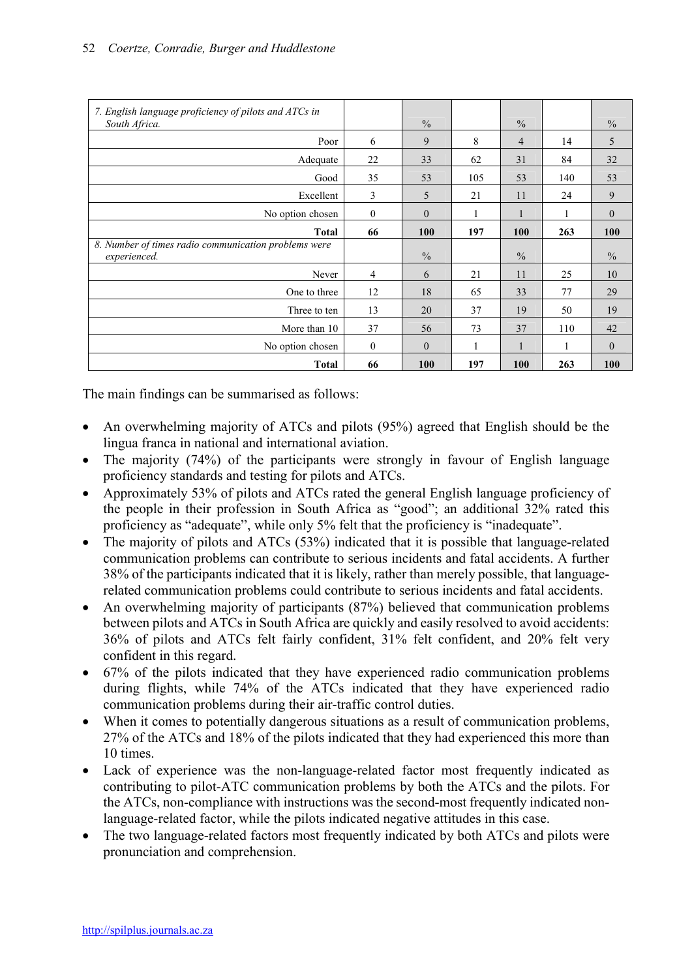| 7. English language proficiency of pilots and ATCs in<br>South Africa. |                  | $\frac{0}{0}$ |     | $\frac{0}{0}$  |     | $\frac{0}{0}$ |
|------------------------------------------------------------------------|------------------|---------------|-----|----------------|-----|---------------|
| Poor                                                                   | 6                | 9             | 8   | $\overline{4}$ | 14  | 5             |
| Adequate                                                               | 22               | 33            | 62  | 31             | 84  | 32            |
| Good                                                                   | 35               | 53            | 105 | 53             | 140 | 53            |
| Excellent                                                              | 3                | 5             | 21  | 11             | 24  | 9             |
| No option chosen                                                       | $\boldsymbol{0}$ | $\theta$      | 1   | 1              |     | $\mathbf{0}$  |
| <b>Total</b>                                                           | 66               | 100           | 197 | 100            | 263 | 100           |
| 8. Number of times radio communication problems were<br>experienced.   |                  | $\frac{0}{0}$ |     | $\frac{0}{0}$  |     | $\frac{0}{0}$ |
| Never                                                                  | $\overline{4}$   | 6             | 21  | 11             | 25  | 10            |
| One to three                                                           | 12               | 18            | 65  | 33             | 77  | 29            |
| Three to ten                                                           | 13               | 20            | 37  | 19             | 50  | 19            |
| More than 10                                                           | 37               | 56            | 73  | 37             | 110 | 42            |
|                                                                        |                  |               |     |                |     |               |
| No option chosen                                                       | $\overline{0}$   | $\mathbf{0}$  | 1   | $\mathbf{1}$   | 1   | $\theta$      |

The main findings can be summarised as follows:

- An overwhelming majority of ATCs and pilots (95%) agreed that English should be the lingua franca in national and international aviation.
- The majority (74%) of the participants were strongly in favour of English language proficiency standards and testing for pilots and ATCs.
- Approximately 53% of pilots and ATCs rated the general English language proficiency of the people in their profession in South Africa as "good"; an additional 32% rated this proficiency as "adequate", while only 5% felt that the proficiency is "inadequate".
- The majority of pilots and ATCs (53%) indicated that it is possible that language-related communication problems can contribute to serious incidents and fatal accidents. A further 38% of the participants indicated that it is likely, rather than merely possible, that languagerelated communication problems could contribute to serious incidents and fatal accidents.
- An overwhelming majority of participants (87%) believed that communication problems between pilots and ATCs in South Africa are quickly and easily resolved to avoid accidents: 36% of pilots and ATCs felt fairly confident, 31% felt confident, and 20% felt very confident in this regard.
- 67% of the pilots indicated that they have experienced radio communication problems during flights, while 74% of the ATCs indicated that they have experienced radio communication problems during their air-traffic control duties.
- When it comes to potentially dangerous situations as a result of communication problems, 27% of the ATCs and 18% of the pilots indicated that they had experienced this more than 10 times.
- Lack of experience was the non-language-related factor most frequently indicated as contributing to pilot-ATC communication problems by both the ATCs and the pilots. For the ATCs, non-compliance with instructions was the second-most frequently indicated nonlanguage-related factor, while the pilots indicated negative attitudes in this case.
- The two language-related factors most frequently indicated by both ATCs and pilots were pronunciation and comprehension.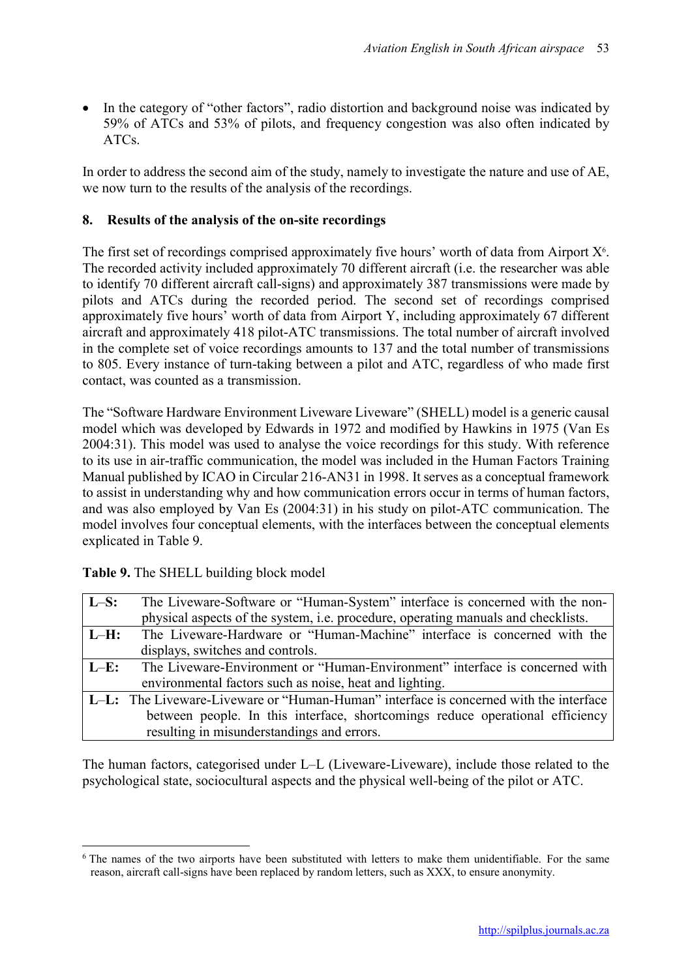In the category of "other factors", radio distortion and background noise was indicated by 59% of ATCs and 53% of pilots, and frequency congestion was also often indicated by ATCs.

In order to address the second aim of the study, namely to investigate the nature and use of AE, we now turn to the results of the analysis of the recordings.

## 8. Results of the analysis of the on-site recordings

The first set of recordings comprised approximately five hours' worth of data from Airport  $X^6$ . The recorded activity included approximately 70 different aircraft (i.e. the researcher was able to identify 70 different aircraft call-signs) and approximately 387 transmissions were made by pilots and ATCs during the recorded period. The second set of recordings comprised approximately five hours' worth of data from Airport Y, including approximately 67 different aircraft and approximately 418 pilot-ATC transmissions. The total number of aircraft involved in the complete set of voice recordings amounts to 137 and the total number of transmissions to 805. Every instance of turn-taking between a pilot and ATC, regardless of who made first contact, was counted as a transmission.

The "Software Hardware Environment Liveware Liveware" (SHELL) model is a generic causal model which was developed by Edwards in 1972 and modified by Hawkins in 1975 (Van Es 2004:31). This model was used to analyse the voice recordings for this study. With reference to its use in air-traffic communication, the model was included in the Human Factors Training Manual published by ICAO in Circular 216-AN31 in 1998. It serves as a conceptual framework to assist in understanding why and how communication errors occur in terms of human factors, and was also employed by Van Es (2004:31) in his study on pilot-ATC communication. The model involves four conceptual elements, with the interfaces between the conceptual elements explicated in Table 9.

| $\mathbf{L}\mathbf{-S}$ : | The Liveware-Software or "Human-System" interface is concerned with the non-                 |
|---------------------------|----------------------------------------------------------------------------------------------|
|                           | physical aspects of the system, i.e. procedure, operating manuals and checklists.            |
| $ L-H:$                   | The Liveware-Hardware or "Human-Machine" interface is concerned with the                     |
|                           | displays, switches and controls.                                                             |
| $\mathbf{L}-\mathbf{E}$ : | The Liveware-Environment or "Human-Environment" interface is concerned with                  |
|                           | environmental factors such as noise, heat and lighting.                                      |
|                           | <b>L-L:</b> The Liveware-Liveware or "Human-Human" interface is concerned with the interface |
|                           | between people. In this interface, shortcomings reduce operational efficiency                |
|                           | resulting in misunderstandings and errors.                                                   |

Table 9. The SHELL building block model

1

The human factors, categorised under L–L (Liveware-Liveware), include those related to the psychological state, sociocultural aspects and the physical well-being of the pilot or ATC.

<sup>&</sup>lt;sup>6</sup> The names of the two airports have been substituted with letters to make them unidentifiable. For the same reason, aircraft call-signs have been replaced by random letters, such as XXX, to ensure anonymity.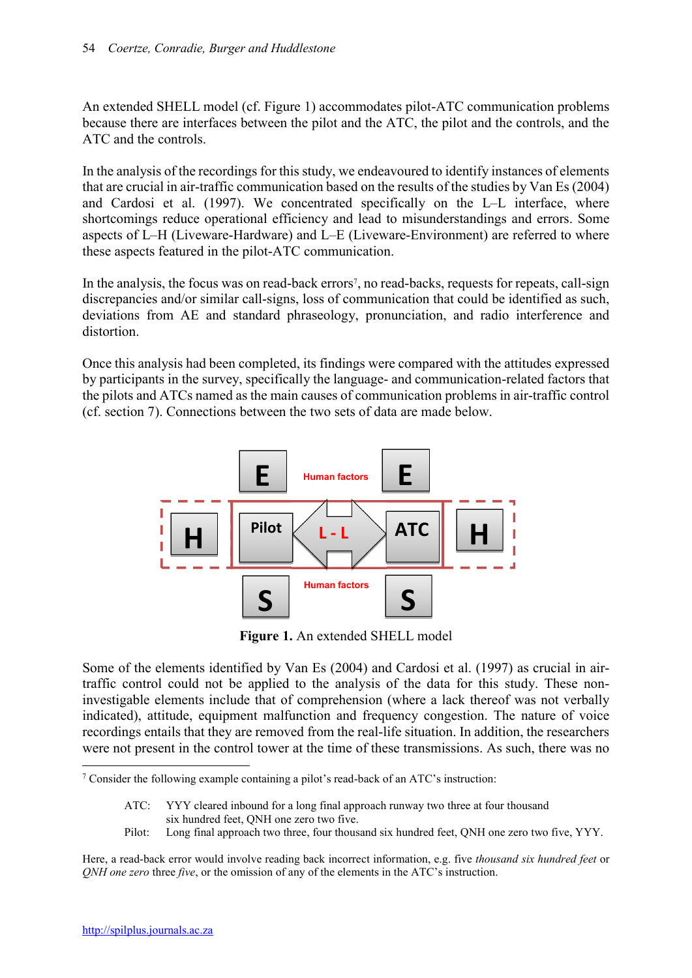An extended SHELL model (cf. Figure 1) accommodates pilot-ATC communication problems because there are interfaces between the pilot and the ATC, the pilot and the controls, and the ATC and the controls.

In the analysis of the recordings for this study, we endeavoured to identify instances of elements that are crucial in air-traffic communication based on the results of the studies by Van Es (2004) and Cardosi et al. (1997). We concentrated specifically on the L–L interface, where shortcomings reduce operational efficiency and lead to misunderstandings and errors. Some aspects of L–H (Liveware-Hardware) and L–E (Liveware-Environment) are referred to where these aspects featured in the pilot-ATC communication.

In the analysis, the focus was on read-back errors<sup>7</sup>, no read-backs, requests for repeats, call-sign discrepancies and/or similar call-signs, loss of communication that could be identified as such, deviations from AE and standard phraseology, pronunciation, and radio interference and distortion.

Once this analysis had been completed, its findings were compared with the attitudes expressed by participants in the survey, specifically the language- and communication-related factors that the pilots and ATCs named as the main causes of communication problems in air-traffic control (cf. section 7). Connections between the two sets of data are made below.



Figure 1. An extended SHELL model

Some of the elements identified by Van Es (2004) and Cardosi et al. (1997) as crucial in airtraffic control could not be applied to the analysis of the data for this study. These noninvestigable elements include that of comprehension (where a lack thereof was not verbally indicated), attitude, equipment malfunction and frequency congestion. The nature of voice recordings entails that they are removed from the real-life situation. In addition, the researchers were not present in the control tower at the time of these transmissions. As such, there was no

Pilot: Long final approach two three, four thousand six hundred feet, QNH one zero two five, YYY.

Here, a read-back error would involve reading back incorrect information, e.g. five *thousand six hundred feet* or *QNH one zero* three *five*, or the omission of any of the elements in the ATC's instruction.

**.** 

<sup>7</sup> Consider the following example containing a pilot's read-back of an ATC's instruction:

ATC: YYY cleared inbound for a long final approach runway two three at four thousand six hundred feet, QNH one zero two five.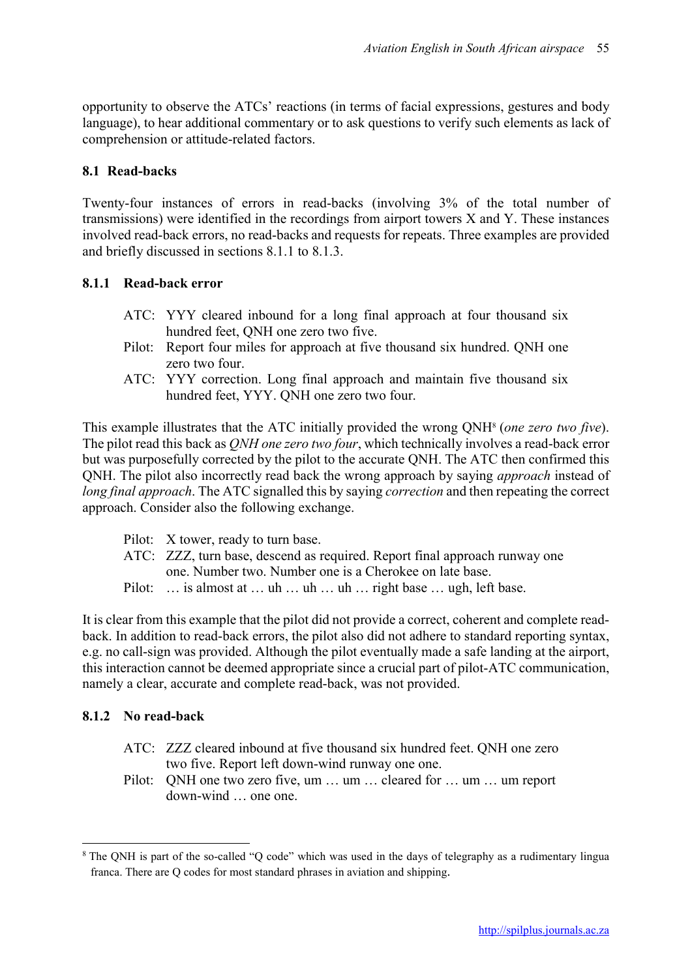opportunity to observe the ATCs' reactions (in terms of facial expressions, gestures and body language), to hear additional commentary or to ask questions to verify such elements as lack of comprehension or attitude-related factors.

## 8.1 Read-backs

Twenty-four instances of errors in read-backs (involving 3% of the total number of transmissions) were identified in the recordings from airport towers X and Y. These instances involved read-back errors, no read-backs and requests for repeats. Three examples are provided and briefly discussed in sections 8.1.1 to 8.1.3.

## 8.1.1 Read-back error

- ATC: YYY cleared inbound for a long final approach at four thousand six hundred feet, QNH one zero two five.
- Pilot: Report four miles for approach at five thousand six hundred. QNH one zero two four.
- ATC: YYY correction. Long final approach and maintain five thousand six hundred feet, YYY. QNH one zero two four.

This example illustrates that the ATC initially provided the wrong QNH8 (*one zero two five*). The pilot read this back as *QNH one zero two four*, which technically involves a read-back error but was purposefully corrected by the pilot to the accurate QNH. The ATC then confirmed this QNH. The pilot also incorrectly read back the wrong approach by saying *approach* instead of *long final approach*. The ATC signalled this by saying *correction* and then repeating the correct approach. Consider also the following exchange.

- Pilot: X tower, ready to turn base.
- ATC: ZZZ, turn base, descend as required. Report final approach runway one one. Number two. Number one is a Cherokee on late base.
- Pilot: ... is almost at ... uh ... uh ... uh ... right base ... ugh, left base.

It is clear from this example that the pilot did not provide a correct, coherent and complete readback. In addition to read-back errors, the pilot also did not adhere to standard reporting syntax, e.g. no call-sign was provided. Although the pilot eventually made a safe landing at the airport, this interaction cannot be deemed appropriate since a crucial part of pilot-ATC communication, namely a clear, accurate and complete read-back, was not provided.

#### 8.1.2 No read-back

**.** 

- ATC: ZZZ cleared inbound at five thousand six hundred feet. QNH one zero two five. Report left down-wind runway one one.
- Pilot: QNH one two zero five, um ... um ... cleared for ... um ... um report down-wind one one.

<sup>8</sup> The QNH is part of the so-called "Q code" which was used in the days of telegraphy as a rudimentary lingua franca. There are Q codes for most standard phrases in aviation and shipping.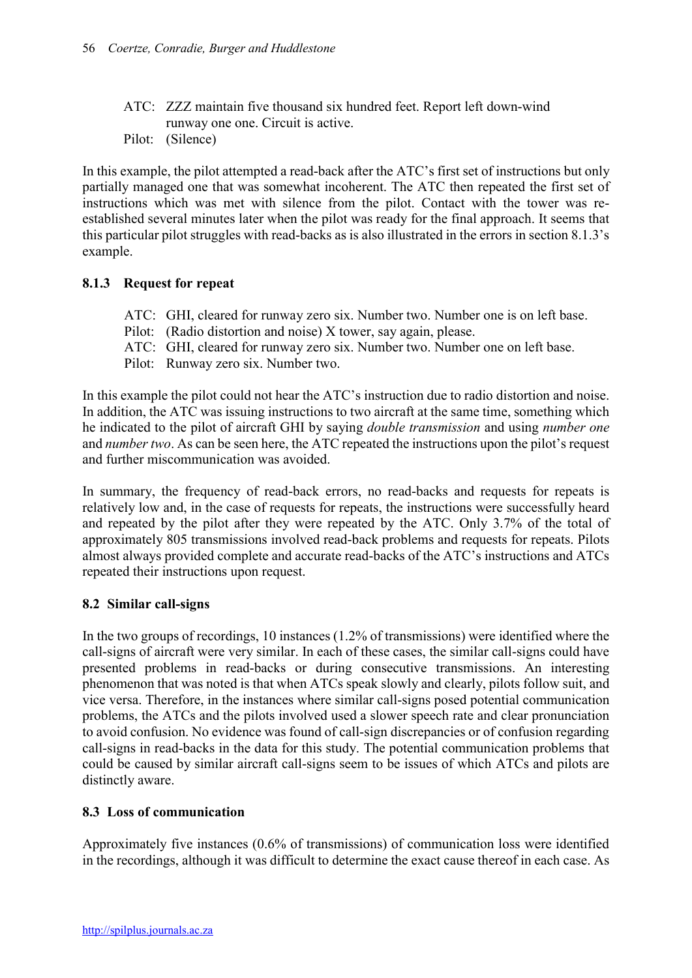- ATC: ZZZ maintain five thousand six hundred feet. Report left down-wind runway one one. Circuit is active.
- Pilot: (Silence)

In this example, the pilot attempted a read-back after the ATC's first set of instructions but only partially managed one that was somewhat incoherent. The ATC then repeated the first set of instructions which was met with silence from the pilot. Contact with the tower was reestablished several minutes later when the pilot was ready for the final approach. It seems that this particular pilot struggles with read-backs as is also illustrated in the errors in section 8.1.3's example.

## 8.1.3 Request for repeat

- ATC: GHI, cleared for runway zero six. Number two. Number one is on left base.
- Pilot: (Radio distortion and noise) X tower, say again, please.
- ATC: GHI, cleared for runway zero six. Number two. Number one on left base.
- Pilot: Runway zero six. Number two.

In this example the pilot could not hear the ATC's instruction due to radio distortion and noise. In addition, the ATC was issuing instructions to two aircraft at the same time, something which he indicated to the pilot of aircraft GHI by saying *double transmission* and using *number one* and *number two*. As can be seen here, the ATC repeated the instructions upon the pilot's request and further miscommunication was avoided.

In summary, the frequency of read-back errors, no read-backs and requests for repeats is relatively low and, in the case of requests for repeats, the instructions were successfully heard and repeated by the pilot after they were repeated by the ATC. Only 3.7% of the total of approximately 805 transmissions involved read-back problems and requests for repeats. Pilots almost always provided complete and accurate read-backs of the ATC's instructions and ATCs repeated their instructions upon request.

#### 8.2 Similar call-signs

In the two groups of recordings, 10 instances (1.2% of transmissions) were identified where the call-signs of aircraft were very similar. In each of these cases, the similar call-signs could have presented problems in read-backs or during consecutive transmissions. An interesting phenomenon that was noted is that when ATCs speak slowly and clearly, pilots follow suit, and vice versa. Therefore, in the instances where similar call-signs posed potential communication problems, the ATCs and the pilots involved used a slower speech rate and clear pronunciation to avoid confusion. No evidence was found of call-sign discrepancies or of confusion regarding call-signs in read-backs in the data for this study. The potential communication problems that could be caused by similar aircraft call-signs seem to be issues of which ATCs and pilots are distinctly aware.

## 8.3 Loss of communication

Approximately five instances (0.6% of transmissions) of communication loss were identified in the recordings, although it was difficult to determine the exact cause thereof in each case. As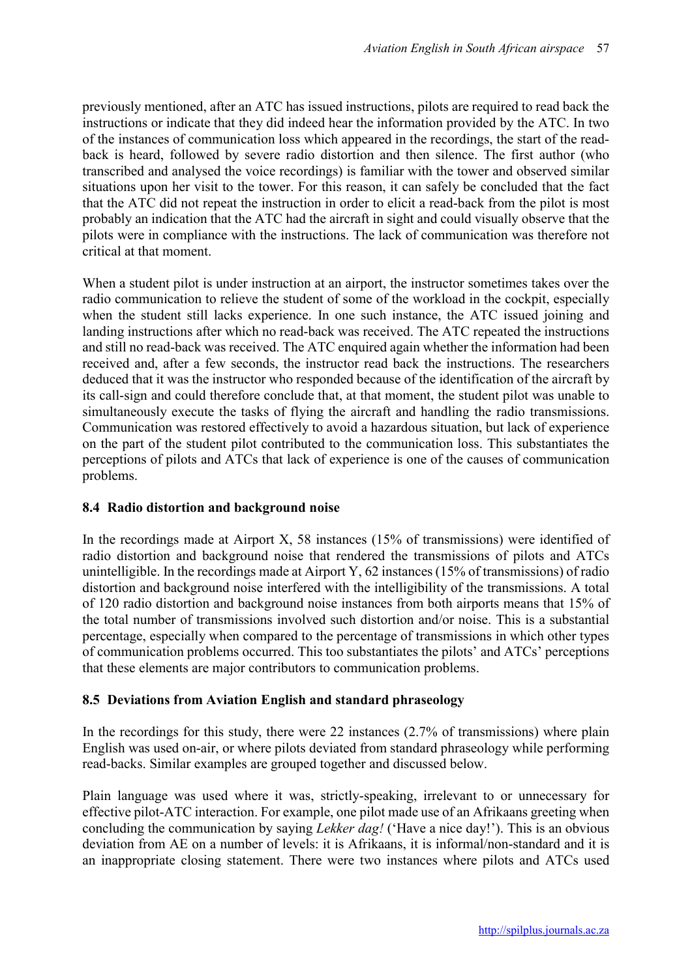previously mentioned, after an ATC has issued instructions, pilots are required to read back the instructions or indicate that they did indeed hear the information provided by the ATC. In two of the instances of communication loss which appeared in the recordings, the start of the readback is heard, followed by severe radio distortion and then silence. The first author (who transcribed and analysed the voice recordings) is familiar with the tower and observed similar situations upon her visit to the tower. For this reason, it can safely be concluded that the fact that the ATC did not repeat the instruction in order to elicit a read-back from the pilot is most probably an indication that the ATC had the aircraft in sight and could visually observe that the pilots were in compliance with the instructions. The lack of communication was therefore not critical at that moment.

When a student pilot is under instruction at an airport, the instructor sometimes takes over the radio communication to relieve the student of some of the workload in the cockpit, especially when the student still lacks experience. In one such instance, the ATC issued joining and landing instructions after which no read-back was received. The ATC repeated the instructions and still no read-back was received. The ATC enquired again whether the information had been received and, after a few seconds, the instructor read back the instructions. The researchers deduced that it was the instructor who responded because of the identification of the aircraft by its call-sign and could therefore conclude that, at that moment, the student pilot was unable to simultaneously execute the tasks of flying the aircraft and handling the radio transmissions. Communication was restored effectively to avoid a hazardous situation, but lack of experience on the part of the student pilot contributed to the communication loss. This substantiates the perceptions of pilots and ATCs that lack of experience is one of the causes of communication problems.

## 8.4 Radio distortion and background noise

In the recordings made at Airport X, 58 instances (15% of transmissions) were identified of radio distortion and background noise that rendered the transmissions of pilots and ATCs unintelligible. In the recordings made at Airport Y, 62 instances (15% of transmissions) of radio distortion and background noise interfered with the intelligibility of the transmissions. A total of 120 radio distortion and background noise instances from both airports means that 15% of the total number of transmissions involved such distortion and/or noise. This is a substantial percentage, especially when compared to the percentage of transmissions in which other types of communication problems occurred. This too substantiates the pilots' and ATCs' perceptions that these elements are major contributors to communication problems.

## 8.5 Deviations from Aviation English and standard phraseology

In the recordings for this study, there were 22 instances  $(2.7\%$  of transmissions) where plain English was used on-air, or where pilots deviated from standard phraseology while performing read-backs. Similar examples are grouped together and discussed below.

Plain language was used where it was, strictly-speaking, irrelevant to or unnecessary for effective pilot-ATC interaction. For example, one pilot made use of an Afrikaans greeting when concluding the communication by saying *Lekker dag!* ('Have a nice day!'). This is an obvious deviation from AE on a number of levels: it is Afrikaans, it is informal/non-standard and it is an inappropriate closing statement. There were two instances where pilots and ATCs used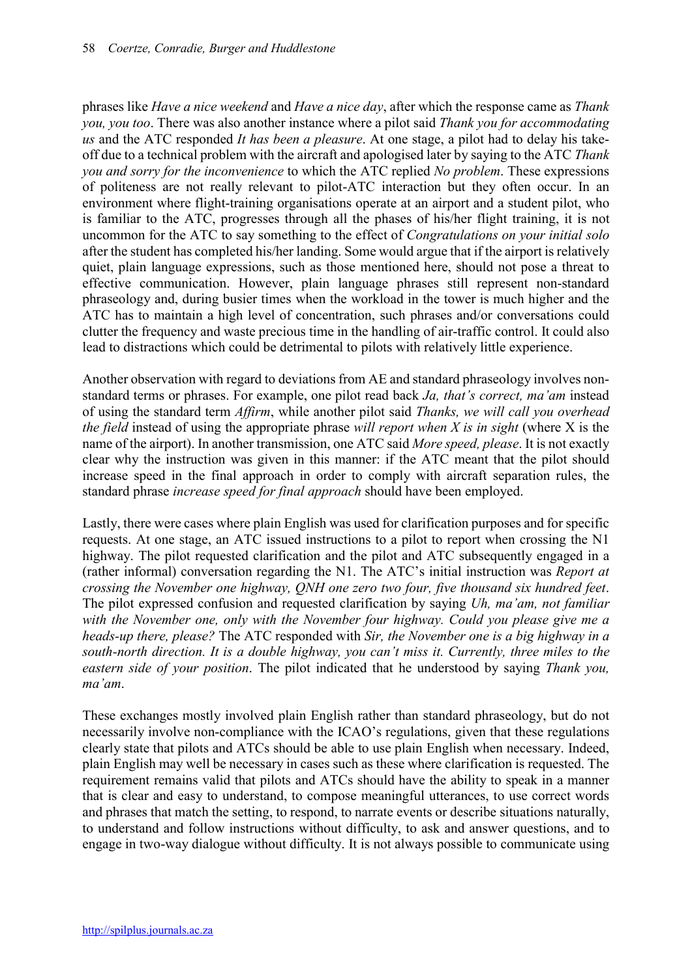phrases like *Have a nice weekend* and *Have a nice day*, after which the response came as *Thank you, you too*. There was also another instance where a pilot said *Thank you for accommodating us* and the ATC responded *It has been a pleasure*. At one stage, a pilot had to delay his takeoff due to a technical problem with the aircraft and apologised later by saying to the ATC *Thank you and sorry for the inconvenience* to which the ATC replied *No problem*. These expressions of politeness are not really relevant to pilot-ATC interaction but they often occur. In an environment where flight-training organisations operate at an airport and a student pilot, who is familiar to the ATC, progresses through all the phases of his/her flight training, it is not uncommon for the ATC to say something to the effect of *Congratulations on your initial solo* after the student has completed his/her landing. Some would argue that if the airport is relatively quiet, plain language expressions, such as those mentioned here, should not pose a threat to effective communication. However, plain language phrases still represent non-standard phraseology and, during busier times when the workload in the tower is much higher and the ATC has to maintain a high level of concentration, such phrases and/or conversations could clutter the frequency and waste precious time in the handling of air-traffic control. It could also lead to distractions which could be detrimental to pilots with relatively little experience.

Another observation with regard to deviations from AE and standard phraseology involves nonstandard terms or phrases. For example, one pilot read back *Ja, that's correct, ma'am* instead of using the standard term *Affirm*, while another pilot said *Thanks, we will call you overhead the field* instead of using the appropriate phrase *will report when X is in sight* (where X is the name of the airport). In another transmission, one ATC said *More speed, please*. It is not exactly clear why the instruction was given in this manner: if the ATC meant that the pilot should increase speed in the final approach in order to comply with aircraft separation rules, the standard phrase *increase speed for final approach* should have been employed.

Lastly, there were cases where plain English was used for clarification purposes and for specific requests. At one stage, an ATC issued instructions to a pilot to report when crossing the N1 highway. The pilot requested clarification and the pilot and ATC subsequently engaged in a (rather informal) conversation regarding the N1. The ATC's initial instruction was *Report at crossing the November one highway, QNH one zero two four, five thousand six hundred feet*. The pilot expressed confusion and requested clarification by saying *Uh, ma'am, not familiar with the November one, only with the November four highway. Could you please give me a heads-up there, please?* The ATC responded with *Sir, the November one is a big highway in a south-north direction. It is a double highway, you can't miss it. Currently, three miles to the eastern side of your position*. The pilot indicated that he understood by saying *Thank you, ma'am*.

These exchanges mostly involved plain English rather than standard phraseology, but do not necessarily involve non-compliance with the ICAO's regulations, given that these regulations clearly state that pilots and ATCs should be able to use plain English when necessary. Indeed, plain English may well be necessary in cases such as these where clarification is requested. The requirement remains valid that pilots and ATCs should have the ability to speak in a manner that is clear and easy to understand, to compose meaningful utterances, to use correct words and phrases that match the setting, to respond, to narrate events or describe situations naturally, to understand and follow instructions without difficulty, to ask and answer questions, and to engage in two-way dialogue without difficulty. It is not always possible to communicate using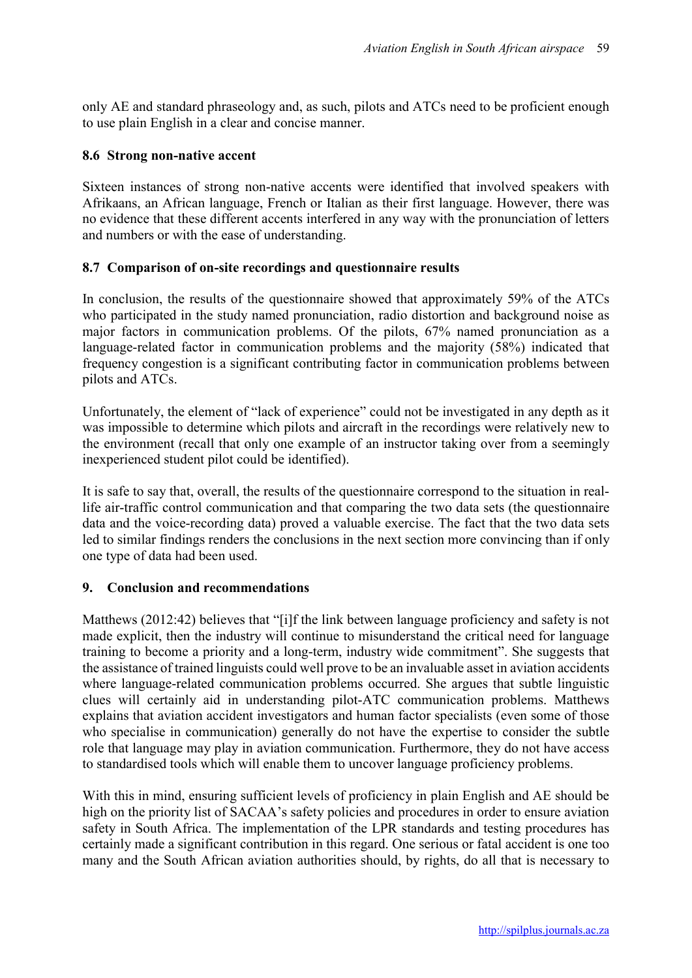only AE and standard phraseology and, as such, pilots and ATCs need to be proficient enough to use plain English in a clear and concise manner.

## 8.6 Strong non-native accent

Sixteen instances of strong non-native accents were identified that involved speakers with Afrikaans, an African language, French or Italian as their first language. However, there was no evidence that these different accents interfered in any way with the pronunciation of letters and numbers or with the ease of understanding.

## 8.7 Comparison of on-site recordings and questionnaire results

In conclusion, the results of the questionnaire showed that approximately 59% of the ATCs who participated in the study named pronunciation, radio distortion and background noise as major factors in communication problems. Of the pilots, 67% named pronunciation as a language-related factor in communication problems and the majority (58%) indicated that frequency congestion is a significant contributing factor in communication problems between pilots and ATCs.

Unfortunately, the element of "lack of experience" could not be investigated in any depth as it was impossible to determine which pilots and aircraft in the recordings were relatively new to the environment (recall that only one example of an instructor taking over from a seemingly inexperienced student pilot could be identified).

It is safe to say that, overall, the results of the questionnaire correspond to the situation in reallife air-traffic control communication and that comparing the two data sets (the questionnaire data and the voice-recording data) proved a valuable exercise. The fact that the two data sets led to similar findings renders the conclusions in the next section more convincing than if only one type of data had been used.

#### 9. Conclusion and recommendations

Matthews (2012:42) believes that "[i]f the link between language proficiency and safety is not made explicit, then the industry will continue to misunderstand the critical need for language training to become a priority and a long-term, industry wide commitment". She suggests that the assistance of trained linguists could well prove to be an invaluable asset in aviation accidents where language-related communication problems occurred. She argues that subtle linguistic clues will certainly aid in understanding pilot-ATC communication problems. Matthews explains that aviation accident investigators and human factor specialists (even some of those who specialise in communication) generally do not have the expertise to consider the subtle role that language may play in aviation communication. Furthermore, they do not have access to standardised tools which will enable them to uncover language proficiency problems.

With this in mind, ensuring sufficient levels of proficiency in plain English and AE should be high on the priority list of SACAA's safety policies and procedures in order to ensure aviation safety in South Africa. The implementation of the LPR standards and testing procedures has certainly made a significant contribution in this regard. One serious or fatal accident is one too many and the South African aviation authorities should, by rights, do all that is necessary to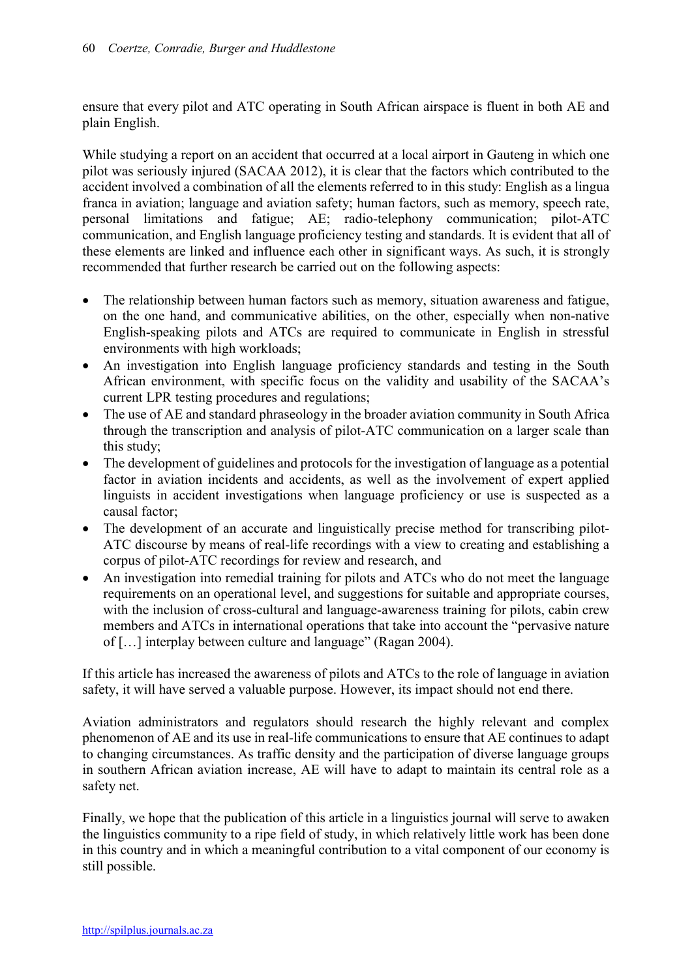ensure that every pilot and ATC operating in South African airspace is fluent in both AE and plain English.

While studying a report on an accident that occurred at a local airport in Gauteng in which one pilot was seriously injured (SACAA 2012), it is clear that the factors which contributed to the accident involved a combination of all the elements referred to in this study: English as a lingua franca in aviation; language and aviation safety; human factors, such as memory, speech rate, personal limitations and fatigue; AE; radio-telephony communication; pilot-ATC communication, and English language proficiency testing and standards. It is evident that all of these elements are linked and influence each other in significant ways. As such, it is strongly recommended that further research be carried out on the following aspects:

- The relationship between human factors such as memory, situation awareness and fatigue, on the one hand, and communicative abilities, on the other, especially when non-native English-speaking pilots and ATCs are required to communicate in English in stressful environments with high workloads;
- An investigation into English language proficiency standards and testing in the South African environment, with specific focus on the validity and usability of the SACAA's current LPR testing procedures and regulations;
- The use of AE and standard phraseology in the broader aviation community in South Africa through the transcription and analysis of pilot-ATC communication on a larger scale than this study;
- The development of guidelines and protocols for the investigation of language as a potential factor in aviation incidents and accidents, as well as the involvement of expert applied linguists in accident investigations when language proficiency or use is suspected as a causal factor;
- The development of an accurate and linguistically precise method for transcribing pilot-ATC discourse by means of real-life recordings with a view to creating and establishing a corpus of pilot-ATC recordings for review and research, and
- An investigation into remedial training for pilots and ATCs who do not meet the language requirements on an operational level, and suggestions for suitable and appropriate courses, with the inclusion of cross-cultural and language-awareness training for pilots, cabin crew members and ATCs in international operations that take into account the "pervasive nature of […] interplay between culture and language" (Ragan 2004).

If this article has increased the awareness of pilots and ATCs to the role of language in aviation safety, it will have served a valuable purpose. However, its impact should not end there.

Aviation administrators and regulators should research the highly relevant and complex phenomenon of AE and its use in real-life communications to ensure that AE continues to adapt to changing circumstances. As traffic density and the participation of diverse language groups in southern African aviation increase, AE will have to adapt to maintain its central role as a safety net.

Finally, we hope that the publication of this article in a linguistics journal will serve to awaken the linguistics community to a ripe field of study, in which relatively little work has been done in this country and in which a meaningful contribution to a vital component of our economy is still possible.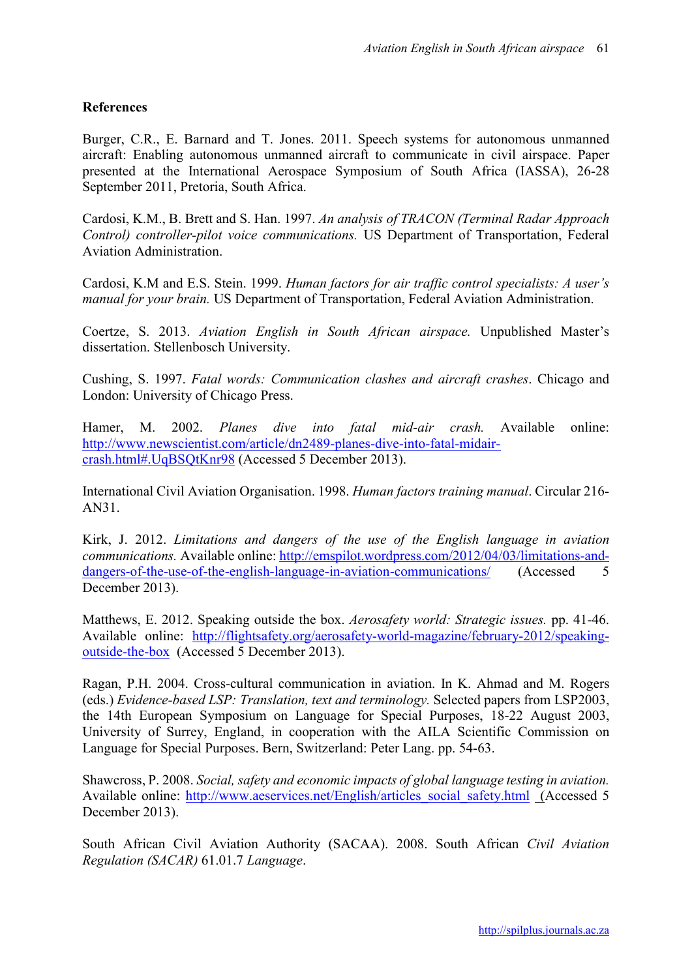## **References**

Burger, C.R., E. Barnard and T. Jones. 2011. Speech systems for autonomous unmanned aircraft: Enabling autonomous unmanned aircraft to communicate in civil airspace. Paper presented at the International Aerospace Symposium of South Africa (IASSA), 26-28 September 2011, Pretoria, South Africa.

Cardosi, K.M., B. Brett and S. Han. 1997. *An analysis of TRACON (Terminal Radar Approach Control) controller-pilot voice communications.* US Department of Transportation, Federal Aviation Administration.

Cardosi, K.M and E.S. Stein. 1999. *Human factors for air traffic control specialists: A user's manual for your brain.* US Department of Transportation, Federal Aviation Administration.

Coertze, S. 2013. *Aviation English in South African airspace.* Unpublished Master's dissertation. Stellenbosch University.

Cushing, S. 1997. *Fatal words: Communication clashes and aircraft crashes*. Chicago and London: University of Chicago Press.

Hamer, M. 2002. *Planes dive into fatal mid-air crash.* Available online: http://www.newscientist.com/article/dn2489-planes-dive-into-fatal-midaircrash.html#.UqBSQtKnr98 (Accessed 5 December 2013).

International Civil Aviation Organisation. 1998. *Human factors training manual*. Circular 216- AN31.

Kirk, J. 2012. *Limitations and dangers of the use of the English language in aviation communications.* Available online: http://emspilot.wordpress.com/2012/04/03/limitations-anddangers-of-the-use-of-the-english-language-in-aviation-communications/ (Accessed 5 December 2013).

Matthews, E. 2012. Speaking outside the box. *Aerosafety world: Strategic issues.* pp. 41-46. Available online: http://flightsafety.org/aerosafety-world-magazine/february-2012/speakingoutside-the-box (Accessed 5 December 2013).

Ragan, P.H. 2004. Cross-cultural communication in aviation. In K. Ahmad and M. Rogers (eds.) *Evidence-based LSP: Translation, text and terminology.* Selected papers from LSP2003, the 14th European Symposium on Language for Special Purposes, 18-22 August 2003, University of Surrey, England, in cooperation with the AILA Scientific Commission on Language for Special Purposes. Bern, Switzerland: Peter Lang. pp. 54-63.

Shawcross, P. 2008. *Social, safety and economic impacts of global language testing in aviation.* Available online: http://www.aeservices.net/English/articles\_social\_safety.html (Accessed 5 December 2013).

South African Civil Aviation Authority (SACAA). 2008. South African *Civil Aviation Regulation (SACAR)* 61.01.7 *Language*.